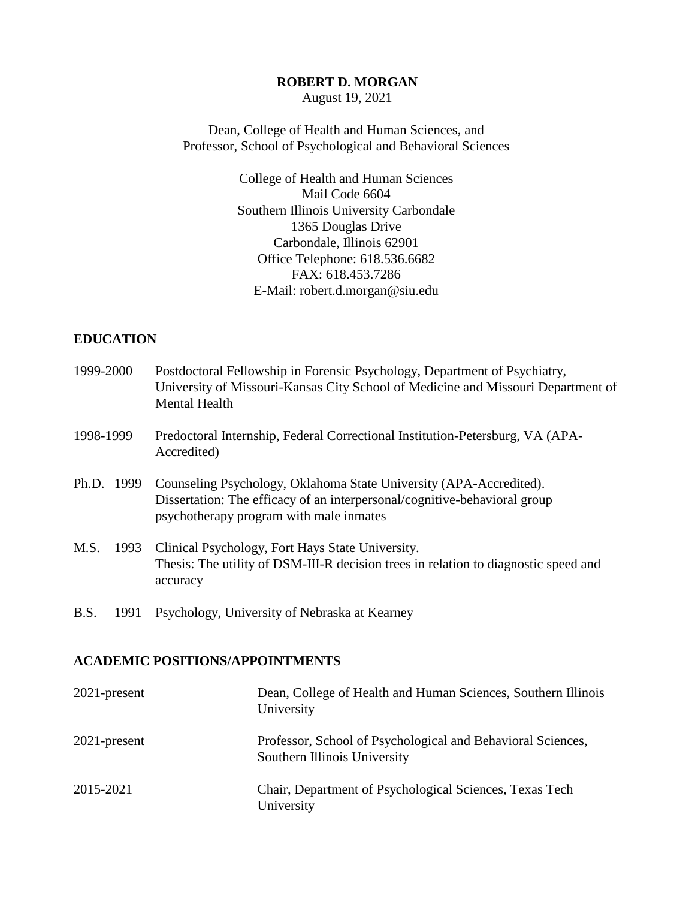#### **ROBERT D. MORGAN**

August 19, 2021

Dean, College of Health and Human Sciences, and Professor, School of Psychological and Behavioral Sciences

> College of Health and Human Sciences Mail Code 6604 Southern Illinois University Carbondale 1365 Douglas Drive Carbondale, Illinois 62901 Office Telephone: 618.536.6682 FAX: 618.453.7286 E-Mail: robert.d.morgan@siu.edu

### **EDUCATION**

| 1999-2000    | Postdoctoral Fellowship in Forensic Psychology, Department of Psychiatry,<br>University of Missouri-Kansas City School of Medicine and Missouri Department of<br><b>Mental Health</b>      |
|--------------|--------------------------------------------------------------------------------------------------------------------------------------------------------------------------------------------|
| 1998-1999    | Predoctoral Internship, Federal Correctional Institution-Petersburg, VA (APA-<br>Accredited)                                                                                               |
| Ph.D. 1999   | Counseling Psychology, Oklahoma State University (APA-Accredited).<br>Dissertation: The efficacy of an interpersonal/cognitive-behavioral group<br>psychotherapy program with male inmates |
| M.S.<br>1993 | Clinical Psychology, Fort Hays State University.<br>Thesis: The utility of DSM-III-R decision trees in relation to diagnostic speed and<br>accuracy                                        |
| B.S.<br>1991 | Psychology, University of Nebraska at Kearney                                                                                                                                              |

#### **ACADEMIC POSITIONS/APPOINTMENTS**

| $2021$ -present | Dean, College of Health and Human Sciences, Southern Illinois<br>University                 |
|-----------------|---------------------------------------------------------------------------------------------|
| $2021$ -present | Professor, School of Psychological and Behavioral Sciences,<br>Southern Illinois University |
| 2015-2021       | Chair, Department of Psychological Sciences, Texas Tech<br>University                       |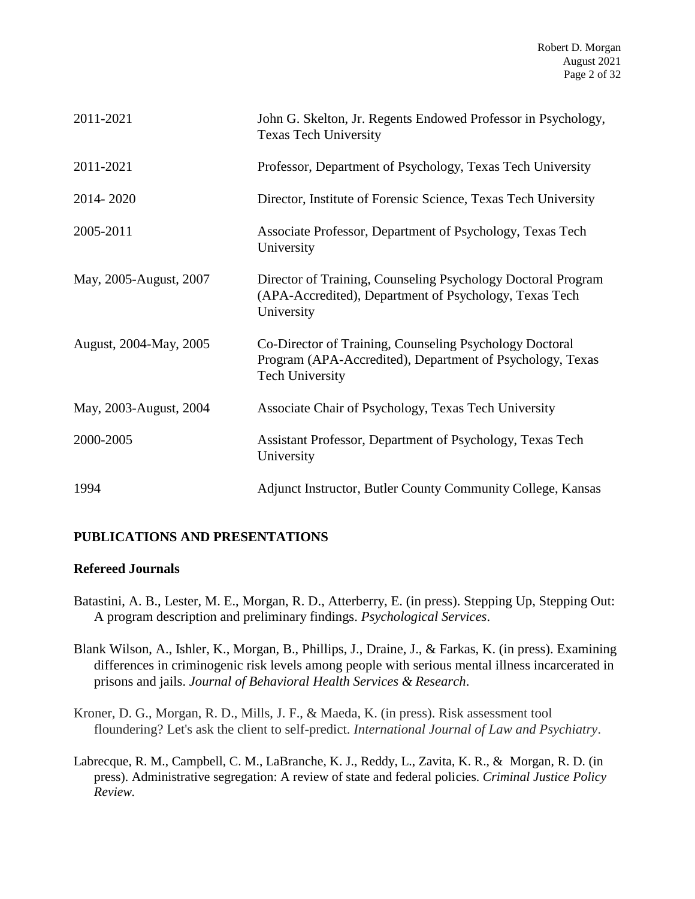| 2011-2021              | John G. Skelton, Jr. Regents Endowed Professor in Psychology,<br><b>Texas Tech University</b>                                                  |
|------------------------|------------------------------------------------------------------------------------------------------------------------------------------------|
| 2011-2021              | Professor, Department of Psychology, Texas Tech University                                                                                     |
| 2014-2020              | Director, Institute of Forensic Science, Texas Tech University                                                                                 |
| 2005-2011              | Associate Professor, Department of Psychology, Texas Tech<br>University                                                                        |
| May, 2005-August, 2007 | Director of Training, Counseling Psychology Doctoral Program<br>(APA-Accredited), Department of Psychology, Texas Tech<br>University           |
| August, 2004-May, 2005 | Co-Director of Training, Counseling Psychology Doctoral<br>Program (APA-Accredited), Department of Psychology, Texas<br><b>Tech University</b> |
| May, 2003-August, 2004 | Associate Chair of Psychology, Texas Tech University                                                                                           |
| 2000-2005              | Assistant Professor, Department of Psychology, Texas Tech<br>University                                                                        |
| 1994                   | Adjunct Instructor, Butler County Community College, Kansas                                                                                    |

## **PUBLICATIONS AND PRESENTATIONS**

## **Refereed Journals**

- Batastini, A. B., Lester, M. E., Morgan, R. D., Atterberry, E. (in press). Stepping Up, Stepping Out: A program description and preliminary findings. *Psychological Services*.
- Blank Wilson, A., Ishler, K., Morgan, B., Phillips, J., Draine, J., & Farkas, K. (in press). Examining differences in criminogenic risk levels among people with serious mental illness incarcerated in prisons and jails. *Journal of Behavioral Health Services & Research*.
- Kroner, D. G., Morgan, R. D., Mills, J. F., & Maeda, K. (in press). Risk assessment tool floundering? Let's ask the client to self-predict. *International Journal of Law and Psychiatry*.
- Labrecque, R. M., Campbell, C. M., LaBranche, K. J., Reddy, L., Zavita, K. R., & Morgan, R. D. (in press). Administrative segregation: A review of state and federal policies. *Criminal Justice Policy Review.*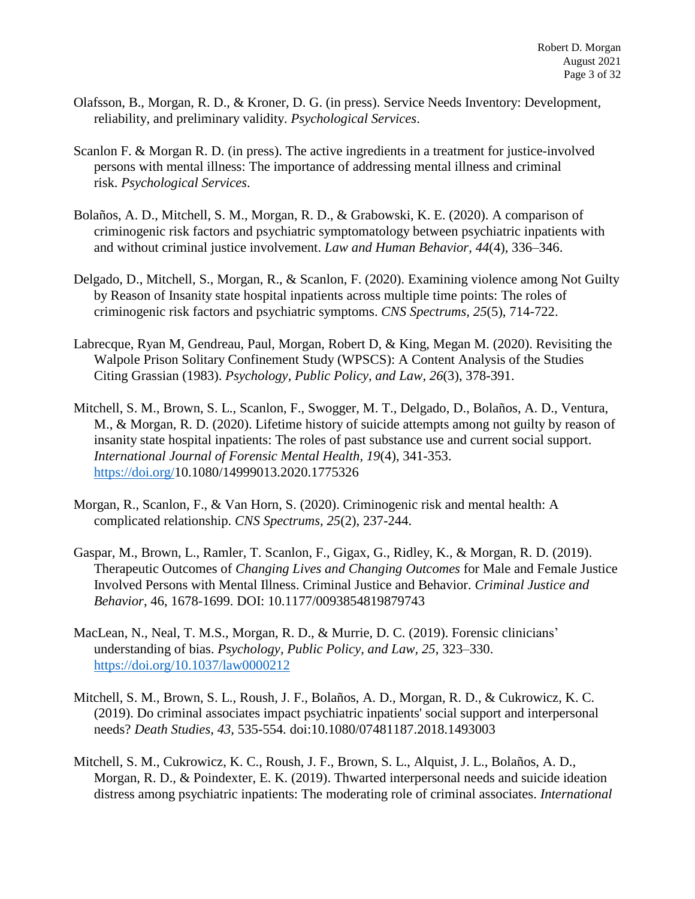- Olafsson, B., Morgan, R. D., & Kroner, D. G. (in press). Service Needs Inventory: Development, reliability, and preliminary validity. *Psychological Services*.
- Scanlon F. & Morgan R. D. (in press). The active ingredients in a treatment for justice-involved persons with mental illness: The importance of addressing mental illness and criminal risk. *Psychological Services*.
- Bolaños, A. D., Mitchell, S. M., Morgan, R. D., & Grabowski, K. E. (2020). A comparison of criminogenic risk factors and psychiatric symptomatology between psychiatric inpatients with and without criminal justice involvement. *Law and Human Behavior, 44*(4), 336–346.
- Delgado, D., Mitchell, S., Morgan, R., & Scanlon, F. (2020). Examining violence among Not Guilty by Reason of Insanity state hospital inpatients across multiple time points: The roles of criminogenic risk factors and psychiatric symptoms. *CNS Spectrums, 25*(5), 714-722.
- Labrecque, Ryan M, Gendreau, Paul, Morgan, Robert D, & King, Megan M. (2020). Revisiting the Walpole Prison Solitary Confinement Study (WPSCS): A Content Analysis of the Studies Citing Grassian (1983). *Psychology, Public Policy, and Law, 26*(3), 378-391.
- Mitchell, S. M., Brown, S. L., Scanlon, F., Swogger, M. T., Delgado, D., Bolaños, A. D., Ventura, M., & Morgan, R. D. (2020). Lifetime history of suicide attempts among not guilty by reason of insanity state hospital inpatients: The roles of past substance use and current social support. *International Journal of Forensic Mental Health, 19*(4), 341-353. [https://doi.org/1](https://nam04.safelinks.protection.outlook.com/?url=https%3A%2F%2Fdoi.org%2F&data=04%7C01%7CRobert.Morgan%40ttu.edu%7C871a43af60db46bb13ab08d87440ccbd%7C178a51bf8b2049ffb65556245d5c173c%7C0%7C0%7C637387169251731059%7CUnknown%7CTWFpbGZsb3d8eyJWIjoiMC4wLjAwMDAiLCJQIjoiV2luMzIiLCJBTiI6Ik1haWwiLCJXVCI6Mn0%3D%7C1000&sdata=yMRQSWWKVwy6og1krpik8ZURsYhE53nUiTps%2BMus9UQ%3D&reserved=0)0.1080/14999013.2020.1775326
- Morgan, R., Scanlon, F., & Van Horn, S. (2020). Criminogenic risk and mental health: A complicated relationship. *CNS Spectrums, 25*(2), 237-244.
- Gaspar, M., Brown, L., Ramler, T. Scanlon, F., Gigax, G., Ridley, K., & Morgan, R. D. (2019). Therapeutic Outcomes of *Changing Lives and Changing Outcomes* for Male and Female Justice Involved Persons with Mental Illness. Criminal Justice and Behavior. *Criminal Justice and Behavior*, 46, 1678-1699. DOI: 10.1177/0093854819879743
- MacLean, N., Neal, T. M.S., Morgan, R. D., & Murrie, D. C. (2019). Forensic clinicians' understanding of bias. *Psychology, Public Policy, and Law, 25*, 323–330. [https://doi.org/10.1037/law0000212](https://psycnet.apa.org/doi/10.1037/law0000212)
- Mitchell, S. M., Brown, S. L., Roush, J. F., Bolaños, A. D., Morgan, R. D., & Cukrowicz, K. C. (2019). Do criminal associates impact psychiatric inpatients' social support and interpersonal needs? *Death Studies, 43,* 535-554*.* doi:10.1080/07481187.2018.1493003
- Mitchell, S. M., Cukrowicz, K. C., Roush, J. F., Brown, S. L., Alquist, J. L., Bolaños, A. D., Morgan, R. D., & Poindexter, E. K. (2019). Thwarted interpersonal needs and suicide ideation distress among psychiatric inpatients: The moderating role of criminal associates. *International*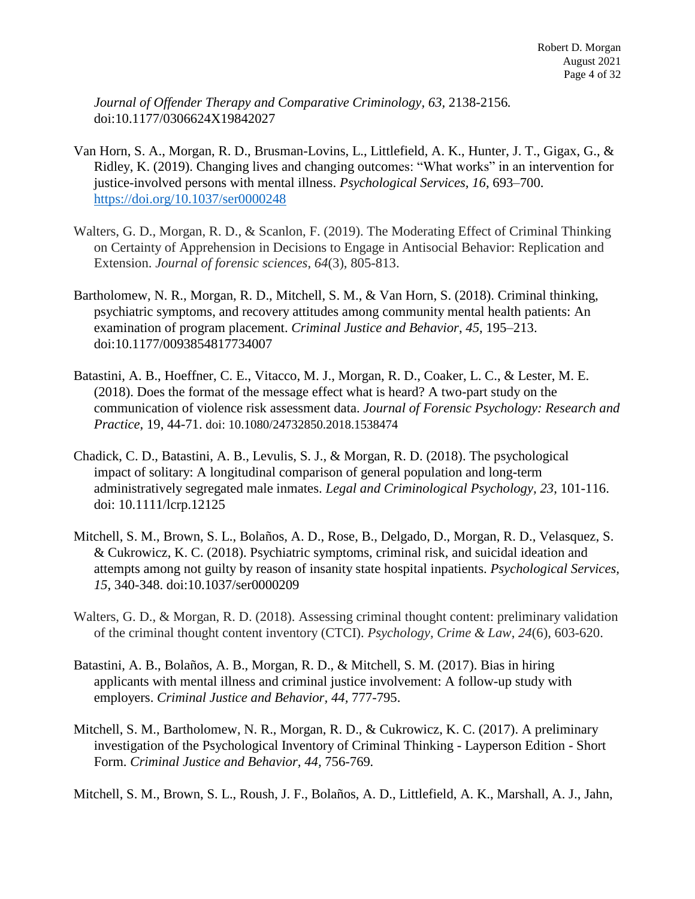*Journal of Offender Therapy and Comparative Criminology, 63,* 2138-2156*.*  doi:10.1177/0306624X19842027

- Van Horn, S. A., Morgan, R. D., Brusman-Lovins, L., Littlefield, A. K., Hunter, J. T., Gigax, G., & Ridley, K. (2019). Changing lives and changing outcomes: "What works" in an intervention for justice-involved persons with mental illness. *Psychological Services, 16*, 693–700. [https://doi.org/10.1037/ser0000248](https://psycnet.apa.org/doi/10.1037/ser0000248)
- Walters, G. D., Morgan, R. D., & Scanlon, F. (2019). The Moderating Effect of Criminal Thinking on Certainty of Apprehension in Decisions to Engage in Antisocial Behavior: Replication and Extension. *Journal of forensic sciences*, *64*(3), 805-813.
- Bartholomew, N. R., Morgan, R. D., Mitchell, S. M., & Van Horn, S. (2018). Criminal thinking, psychiatric symptoms, and recovery attitudes among community mental health patients: An examination of program placement. *Criminal Justice and Behavior*, *45*, 195–213. doi:10.1177/0093854817734007
- Batastini, A. B., Hoeffner, C. E., Vitacco, M. J., Morgan, R. D., Coaker, L. C., & Lester, M. E. (2018). Does the format of the message effect what is heard? A two-part study on the communication of violence risk assessment data. *Journal of Forensic Psychology: Research and Practice*, 19, 44-71. doi: 10.1080/24732850.2018.1538474
- Chadick, C. D., Batastini, A. B., Levulis, S. J., & Morgan, R. D. (2018). The psychological impact of solitary: A longitudinal comparison of general population and long-term administratively segregated male inmates. *Legal and Criminological Psychology, 23*, 101-116. doi: 10.1111/lcrp.12125
- Mitchell, S. M., Brown, S. L., Bolaños, A. D., Rose, B., Delgado, D., Morgan, R. D., Velasquez, S. & Cukrowicz, K. C. (2018). Psychiatric symptoms, criminal risk, and suicidal ideation and attempts among not guilty by reason of insanity state hospital inpatients. *Psychological Services, 15*, 340-348. doi:10.1037/ser0000209
- Walters, G. D., & Morgan, R. D. (2018). Assessing criminal thought content: preliminary validation of the criminal thought content inventory (CTCI). *Psychology, Crime & Law*, *24*(6), 603-620.
- Batastini, A. B., Bolaños, A. B., Morgan, R. D., & Mitchell, S. M. (2017). Bias in hiring applicants with mental illness and criminal justice involvement: A follow-up study with employers. *Criminal Justice and Behavior, 44,* 777-795.
- Mitchell, S. M., Bartholomew, N. R., Morgan, R. D., & Cukrowicz, K. C. (2017). A preliminary investigation of the Psychological Inventory of Criminal Thinking - Layperson Edition - Short Form. *Criminal Justice and Behavior, 44,* 756-769*.*

Mitchell, S. M., Brown, S. L., Roush, J. F., Bolaños, A. D., Littlefield, A. K., Marshall, A. J., Jahn,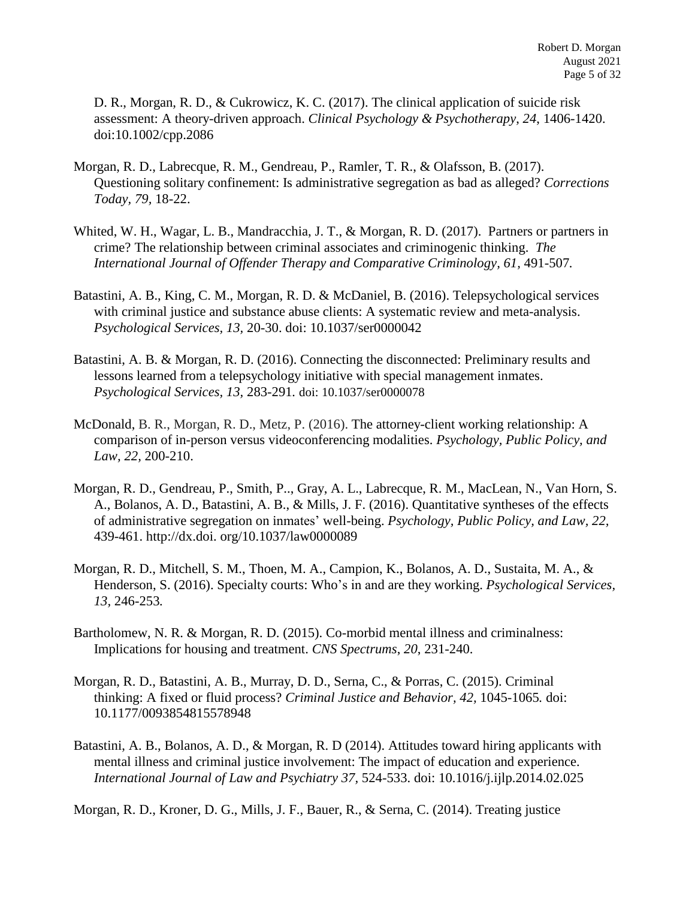D. R., Morgan, R. D., & Cukrowicz, K. C. (2017). The clinical application of suicide risk assessment: A theory-driven approach. *Clinical Psychology & Psychotherapy*, *24*, 1406-1420. doi:10.1002/cpp.2086

- Morgan, R. D., Labrecque, R. M., Gendreau, P., Ramler, T. R., & Olafsson, B. (2017). Questioning solitary confinement: Is administrative segregation as bad as alleged? *Corrections Today, 79,* 18-22.
- Whited, W. H., Wagar, L. B., Mandracchia, J. T., & Morgan, R. D. (2017). Partners or partners in crime? The relationship between criminal associates and criminogenic thinking. *The International Journal of Offender Therapy and Comparative Criminology, 61,* 491-507*.*
- Batastini, A. B., King, C. M., Morgan, R. D. & McDaniel, B. (2016). Telepsychological services with criminal justice and substance abuse clients: A systematic review and meta-analysis. *Psychological Services, 13,* 20-30. doi: 10.1037/ser0000042
- Batastini, A. B. & Morgan, R. D. (2016). Connecting the disconnected: Preliminary results and lessons learned from a telepsychology initiative with special management inmates. *Psychological Services, 13,* 283-291*.* doi: 10.1037/ser0000078
- McDonald, B. R., Morgan, R. D., Metz, P. (2016). The attorney-client working relationship: A comparison of in-person versus videoconferencing modalities. *Psychology, Public Policy, and Law, 22,* 200-210.
- Morgan, R. D., Gendreau, P., Smith, P.., Gray, A. L., Labrecque, R. M., MacLean, N., Van Horn, S. A., Bolanos, A. D., Batastini, A. B., & Mills, J. F. (2016). Quantitative syntheses of the effects of administrative segregation on inmates' well-being. *Psychology, Public Policy, and Law, 22,*  439-461. http://dx.doi. org/10.1037/law0000089
- Morgan, R. D., Mitchell, S. M., Thoen, M. A., Campion, K., Bolanos, A. D., Sustaita, M. A., & Henderson, S. (2016). Specialty courts: Who's in and are they working. *Psychological Services, 13,* 246-253*.*
- Bartholomew, N. R. & Morgan, R. D. (2015). Co-morbid mental illness and criminalness: Implications for housing and treatment. *CNS Spectrums*, *20*, 231-240.
- Morgan, R. D., Batastini, A. B., Murray, D. D., Serna, C., & Porras, C. (2015). Criminal thinking: A fixed or fluid process? *Criminal Justice and Behavior, 42,* 1045-1065*.* doi: 10.1177/0093854815578948
- Batastini, A. B., Bolanos, A. D., & Morgan, R. D (2014). Attitudes toward hiring applicants with mental illness and criminal justice involvement: The impact of education and experience. *International Journal of Law and Psychiatry 37,* 524-533. doi: 10.1016/j.ijlp.2014.02.025

Morgan, R. D., Kroner, D. G., Mills, J. F., Bauer, R., & Serna, C. (2014). Treating justice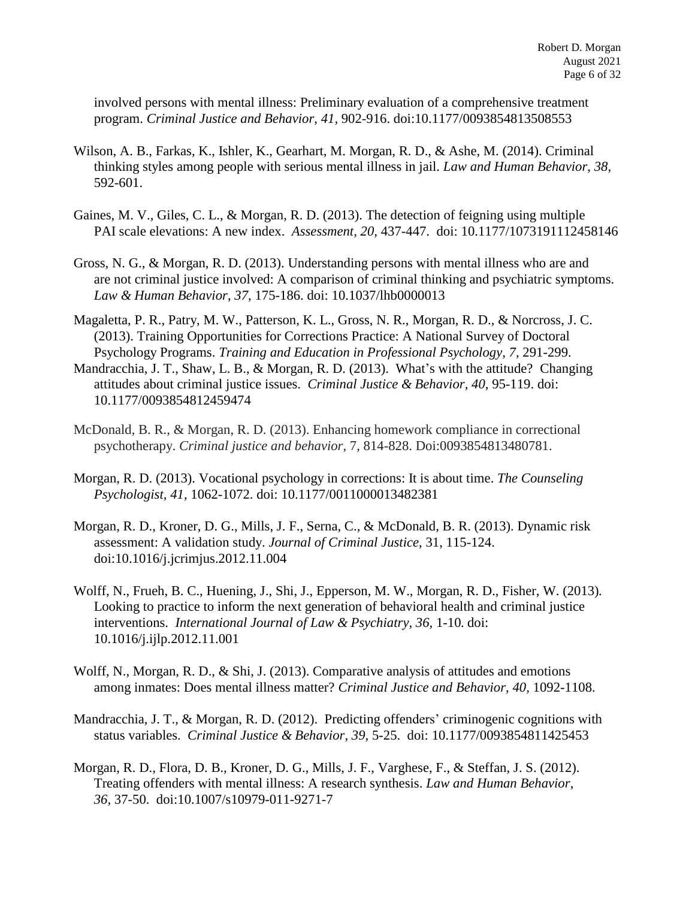involved persons with mental illness: Preliminary evaluation of a comprehensive treatment program. *Criminal Justice and Behavior, 41,* 902-916. doi:10.1177/0093854813508553

- Wilson, A. B., Farkas, K., Ishler, K., Gearhart, M. Morgan, R. D., & Ashe, M. (2014). Criminal thinking styles among people with serious mental illness in jail. *Law and Human Behavior*, *38*, 592-601.
- Gaines, M. V., Giles, C. L., & Morgan, R. D. (2013). The detection of feigning using multiple PAI scale elevations: A new index. *Assessment, 20,* 437-447. doi: 10.1177/1073191112458146
- Gross, N. G., & Morgan, R. D. (2013). Understanding persons with mental illness who are and are not criminal justice involved: A comparison of criminal thinking and psychiatric symptoms. *Law & Human Behavior*, *37*, 175-186. doi: 10.1037/lhb0000013
- Magaletta, P. R., Patry, M. W., Patterson, K. L., Gross, N. R., Morgan, R. D., & Norcross, J. C. (2013). Training Opportunities for Corrections Practice: A National Survey of Doctoral Psychology Programs. *Training and Education in Professional Psychology*, *7*, 291-299.
- Mandracchia, J. T., Shaw, L. B., & Morgan, R. D. (2013). What's with the attitude? Changing attitudes about criminal justice issues. *Criminal Justice & Behavior, 40,* 95-119. doi: 10.1177/0093854812459474
- McDonald, B. R., & Morgan, R. D. (2013). Enhancing homework compliance in correctional psychotherapy. *Criminal justice and behavior*, 7, 814-828. Doi:0093854813480781.
- Morgan, R. D. (2013). Vocational psychology in corrections: It is about time. *The Counseling Psychologist, 41*, 1062-1072. doi: 10.1177/0011000013482381
- Morgan, R. D., Kroner, D. G., Mills, J. F., Serna, C., & McDonald, B. R. (2013). Dynamic risk assessment: A validation study. *Journal of Criminal Justice*, 31, 115-124. doi:10.1016/j.jcrimjus.2012.11.004
- Wolff, N., Frueh, B. C., Huening, J., Shi, J., Epperson, M. W., Morgan, R. D., Fisher, W. (2013)*.*  Looking to practice to inform the next generation of behavioral health and criminal justice interventions. *International Journal of Law & Psychiatry, 36,* 1-10*.* doi: 10.1016/j.ijlp.2012.11.001
- Wolff, N., Morgan, R. D., & Shi, J. (2013). Comparative analysis of attitudes and emotions among inmates: Does mental illness matter? *Criminal Justice and Behavior, 40,* 1092-1108.
- Mandracchia, J. T., & Morgan, R. D. (2012). Predicting offenders' criminogenic cognitions with status variables. *Criminal Justice & Behavior, 39,* 5-25. doi: 10.1177/0093854811425453
- Morgan, R. D., Flora, D. B., Kroner, D. G., Mills, J. F., Varghese, F., & Steffan, J. S. (2012). Treating offenders with mental illness: A research synthesis. *Law and Human Behavior, 36,* 37-50. doi:10.1007/s10979-011-9271-7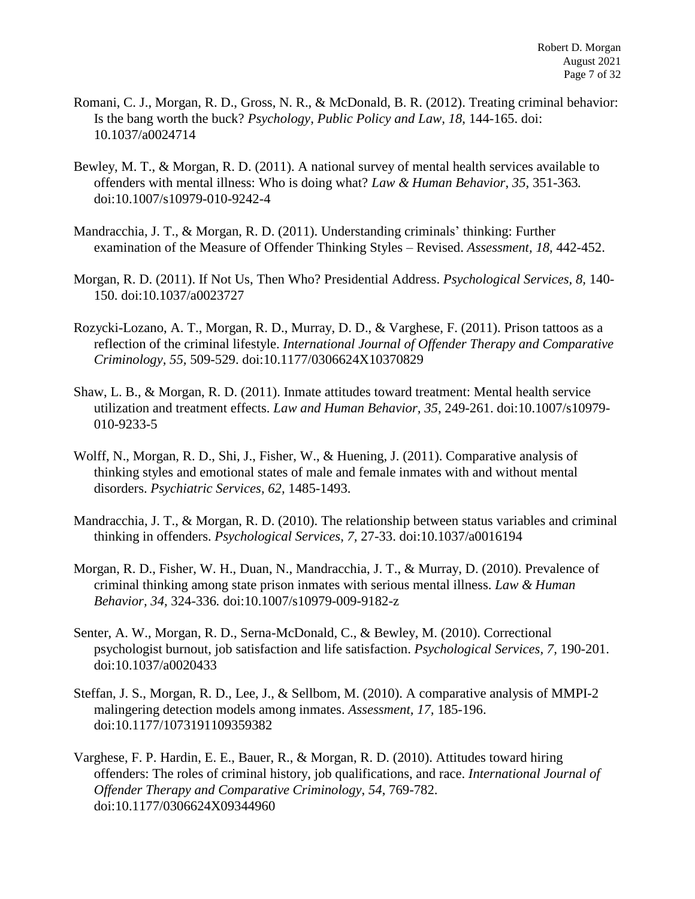- Romani, C. J., Morgan, R. D., Gross, N. R., & McDonald, B. R. (2012). Treating criminal behavior: Is the bang worth the buck? *Psychology, Public Policy and Law, 18*, 144-165. doi: 10.1037/a0024714
- Bewley, M. T., & Morgan, R. D. (2011). A national survey of mental health services available to offenders with mental illness: Who is doing what? *Law & Human Behavior*, *35,* 351-363*.* doi:10.1007/s10979-010-9242-4
- Mandracchia, J. T., & Morgan, R. D. (2011). Understanding criminals' thinking: Further examination of the Measure of Offender Thinking Styles – Revised. *Assessment, 18,* 442-452.
- Morgan, R. D. (2011). If Not Us, Then Who? Presidential Address. *Psychological Services, 8,* 140- 150. doi:10.1037/a0023727
- Rozycki-Lozano, A. T., Morgan, R. D., Murray, D. D., & Varghese, F. (2011). Prison tattoos as a reflection of the criminal lifestyle. *International Journal of Offender Therapy and Comparative Criminology, 55,* 509-529. doi:10.1177/0306624X10370829
- Shaw, L. B., & Morgan, R. D. (2011). Inmate attitudes toward treatment: Mental health service utilization and treatment effects. *Law and Human Behavior, 35*, 249-261. doi:10.1007/s10979- 010-9233-5
- Wolff, N., Morgan, R. D., Shi, J., Fisher, W., & Huening, J. (2011). Comparative analysis of thinking styles and emotional states of male and female inmates with and without mental disorders. *Psychiatric Services, 62,* 1485-1493.
- Mandracchia, J. T., & Morgan, R. D. (2010). The relationship between status variables and criminal thinking in offenders. *Psychological Services, 7,* 27-33. doi:10.1037/a0016194
- Morgan, R. D., Fisher, W. H., Duan, N., Mandracchia, J. T., & Murray, D. (2010). Prevalence of criminal thinking among state prison inmates with serious mental illness. *Law & Human Behavior, 34,* 324-336*.* doi:10.1007/s10979-009-9182-z
- Senter, A. W., Morgan, R. D., Serna-McDonald, C., & Bewley, M. (2010). Correctional psychologist burnout, job satisfaction and life satisfaction. *Psychological Services, 7,* 190-201. doi:10.1037/a0020433
- Steffan, J. S., Morgan, R. D., Lee, J., & Sellbom, M. (2010). A comparative analysis of MMPI-2 malingering detection models among inmates. *Assessment, 17,* 185-196. doi:10.1177/1073191109359382
- Varghese, F. P. Hardin, E. E., Bauer, R., & Morgan, R. D. (2010). Attitudes toward hiring offenders: The roles of criminal history, job qualifications, and race. *International Journal of Offender Therapy and Comparative Criminology*, *54*, 769-782. doi:10.1177/0306624X09344960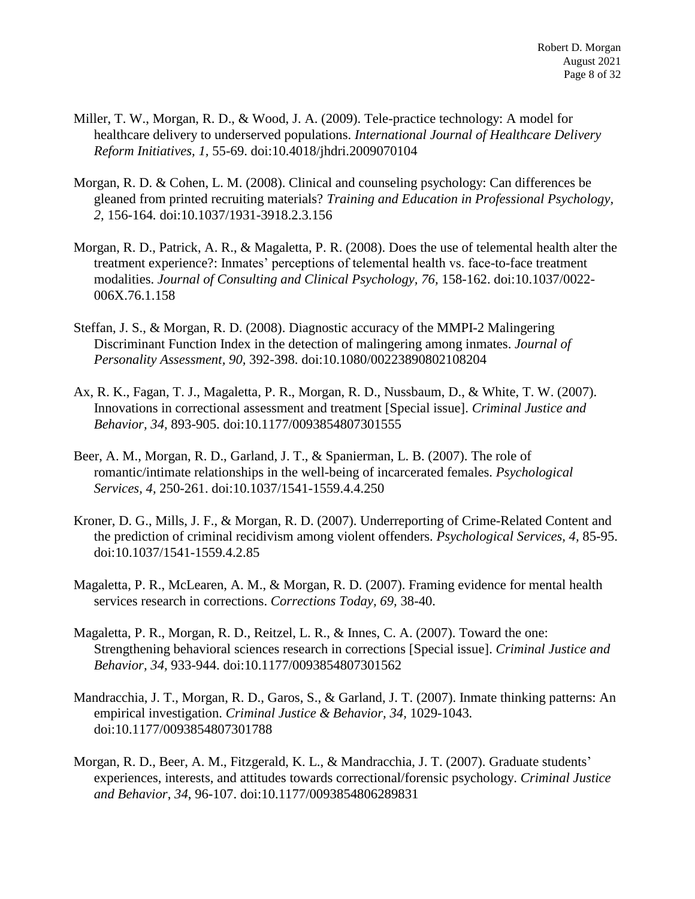- Miller, T. W., Morgan, R. D., & Wood, J. A. (2009). Tele-practice technology: A model for healthcare delivery to underserved populations. *International Journal of Healthcare Delivery Reform Initiatives, 1,* 55-69. doi:10.4018/jhdri.2009070104
- Morgan, R. D. & Cohen, L. M. (2008). Clinical and counseling psychology: Can differences be gleaned from printed recruiting materials? *Training and Education in Professional Psychology, 2,* 156-164*.* doi:10.1037/1931-3918.2.3.156
- Morgan, R. D., Patrick, A. R., & Magaletta, P. R. (2008). Does the use of telemental health alter the treatment experience?: Inmates' perceptions of telemental health vs. face-to-face treatment modalities. *Journal of Consulting and Clinical Psychology, 76,* 158-162. doi:10.1037/0022- 006X.76.1.158
- Steffan, J. S., & Morgan, R. D. (2008). Diagnostic accuracy of the MMPI-2 Malingering Discriminant Function Index in the detection of malingering among inmates. *Journal of Personality Assessment, 90,* 392-398. doi:10.1080/00223890802108204
- Ax, R. K., Fagan, T. J., Magaletta, P. R., Morgan, R. D., Nussbaum, D., & White, T. W. (2007). Innovations in correctional assessment and treatment [Special issue]. *Criminal Justice and Behavior, 34,* 893-905. doi:10.1177/0093854807301555
- Beer, A. M., Morgan, R. D., Garland, J. T., & Spanierman, L. B. (2007). The role of romantic/intimate relationships in the well-being of incarcerated females. *Psychological Services, 4,* 250-261. doi:10.1037/1541-1559.4.4.250
- Kroner, D. G., Mills, J. F., & Morgan, R. D. (2007). Underreporting of Crime-Related Content and the prediction of criminal recidivism among violent offenders. *Psychological Services, 4,* 85-95. doi:10.1037/1541-1559.4.2.85
- Magaletta, P. R., McLearen, A. M., & Morgan, R. D. (2007). Framing evidence for mental health services research in corrections. *Corrections Today, 69,* 38-40.
- Magaletta, P. R., Morgan, R. D., Reitzel, L. R., & Innes, C. A. (2007). Toward the one: Strengthening behavioral sciences research in corrections [Special issue]. *Criminal Justice and Behavior, 34,* 933-944. doi:10.1177/0093854807301562
- Mandracchia, J. T., Morgan, R. D., Garos, S., & Garland, J. T. (2007). Inmate thinking patterns: An empirical investigation. *Criminal Justice & Behavior, 34,* 1029-1043*.* doi:10.1177/0093854807301788
- Morgan, R. D., Beer, A. M., Fitzgerald, K. L., & Mandracchia, J. T. (2007). Graduate students' experiences, interests, and attitudes towards correctional/forensic psychology. *Criminal Justice and Behavior*, *34*, 96-107. doi:10.1177/0093854806289831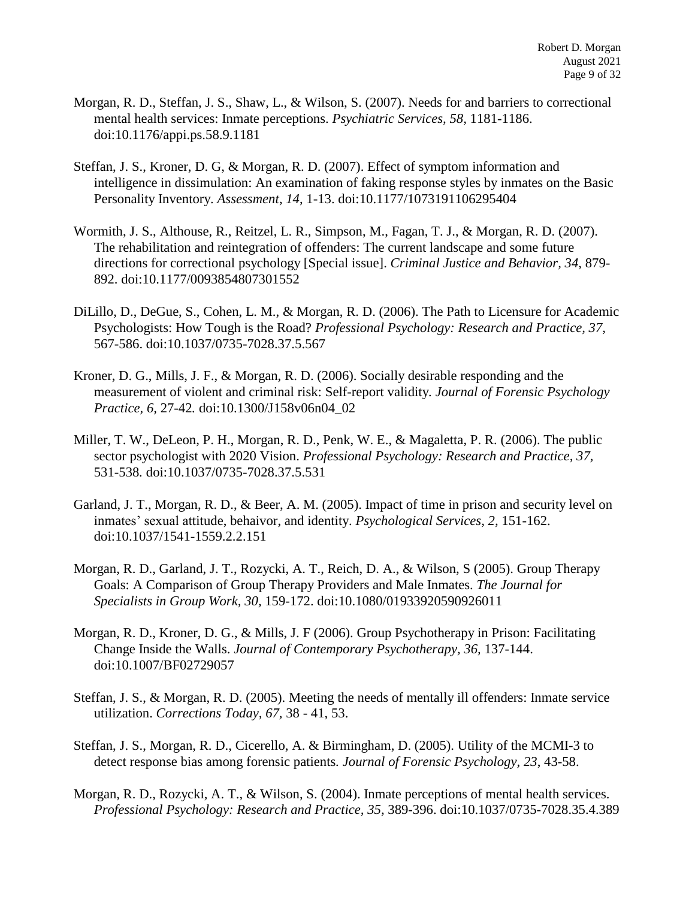- Morgan, R. D., Steffan, J. S., Shaw, L., & Wilson, S. (2007). Needs for and barriers to correctional mental health services: Inmate perceptions. *Psychiatric Services, 58,* 1181-1186. doi:10.1176/appi.ps.58.9.1181
- Steffan, J. S., Kroner, D. G, & Morgan, R. D. (2007). Effect of symptom information and intelligence in dissimulation: An examination of faking response styles by inmates on the Basic Personality Inventory. *Assessment*, *14*, 1-13. doi:10.1177/1073191106295404
- Wormith, J. S., Althouse, R., Reitzel, L. R., Simpson, M., Fagan, T. J., & Morgan, R. D. (2007). The rehabilitation and reintegration of offenders: The current landscape and some future directions for correctional psychology [Special issue]. *Criminal Justice and Behavior, 34*, 879- 892. doi:10.1177/0093854807301552
- DiLillo, D., DeGue, S., Cohen, L. M., & Morgan, R. D. (2006). The Path to Licensure for Academic Psychologists: How Tough is the Road? *Professional Psychology: Research and Practice, 37,* 567-586. doi:10.1037/0735-7028.37.5.567
- Kroner, D. G., Mills, J. F., & Morgan, R. D. (2006). Socially desirable responding and the measurement of violent and criminal risk: Self-report validity*. Journal of Forensic Psychology Practice, 6,* 27-42*.* doi:10.1300/J158v06n04\_02
- Miller, T. W., DeLeon, P. H., Morgan, R. D., Penk, W. E., & Magaletta, P. R. (2006). The public sector psychologist with 2020 Vision. *Professional Psychology: Research and Practice, 37,* 531-538*.* doi:10.1037/0735-7028.37.5.531
- Garland, J. T., Morgan, R. D., & Beer, A. M. (2005). Impact of time in prison and security level on inmates' sexual attitude, behaivor, and identity. *Psychological Services, 2,* 151-162. doi:10.1037/1541-1559.2.2.151
- Morgan, R. D., Garland, J. T., Rozycki, A. T., Reich, D. A., & Wilson, S (2005). Group Therapy Goals: A Comparison of Group Therapy Providers and Male Inmates. *The Journal for Specialists in Group Work, 30,* 159-172. doi:10.1080/01933920590926011
- Morgan, R. D., Kroner, D. G., & Mills, J. F (2006). Group Psychotherapy in Prison: Facilitating Change Inside the Walls. *Journal of Contemporary Psychotherapy, 36,* 137-144. doi:10.1007/BF02729057
- Steffan, J. S., & Morgan, R. D. (2005). Meeting the needs of mentally ill offenders: Inmate service utilization. *Corrections Today, 67,* 38 - 41, 53.
- Steffan, J. S., Morgan, R. D., Cicerello, A. & Birmingham, D. (2005). Utility of the MCMI-3 to detect response bias among forensic patients*. Journal of Forensic Psychology, 23*, 43-58.
- Morgan, R. D., Rozycki, A. T., & Wilson, S. (2004). Inmate perceptions of mental health services. *Professional Psychology: Research and Practice, 35,* 389-396. doi:10.1037/0735-7028.35.4.389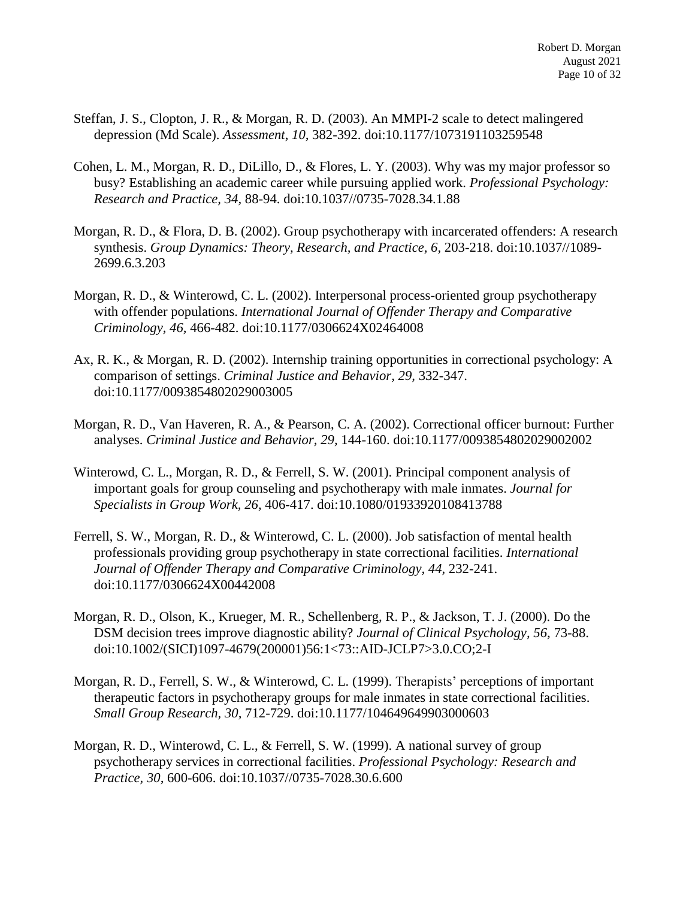- Steffan, J. S., Clopton, J. R., & Morgan, R. D. (2003). An MMPI-2 scale to detect malingered depression (Md Scale). *Assessment*, *10,* 382-392. doi:10.1177/1073191103259548
- Cohen, L. M., Morgan, R. D., DiLillo, D., & Flores, L. Y. (2003). Why was my major professor so busy? Establishing an academic career while pursuing applied work. *Professional Psychology: Research and Practice, 34,* 88-94. doi:10.1037//0735-7028.34.1.88
- Morgan, R. D., & Flora, D. B. (2002). Group psychotherapy with incarcerated offenders: A research synthesis. *Group Dynamics: Theory, Research, and Practice, 6,* 203-218. doi:10.1037//1089- 2699.6.3.203
- Morgan, R. D., & Winterowd, C. L. (2002). Interpersonal process-oriented group psychotherapy with offender populations. *International Journal of Offender Therapy and Comparative Criminology, 46,* 466-482. doi:10.1177/0306624X02464008
- Ax, R. K., & Morgan, R. D. (2002). Internship training opportunities in correctional psychology: A comparison of settings. *Criminal Justice and Behavior, 29,* 332-347. doi:10.1177/0093854802029003005
- Morgan, R. D., Van Haveren, R. A., & Pearson, C. A. (2002). Correctional officer burnout: Further analyses. *Criminal Justice and Behavior, 29,* 144-160. doi:10.1177/0093854802029002002
- Winterowd, C. L., Morgan, R. D., & Ferrell, S. W. (2001). Principal component analysis of important goals for group counseling and psychotherapy with male inmates. *Journal for Specialists in Group Work, 26,* 406-417. doi:10.1080/01933920108413788
- Ferrell, S. W., Morgan, R. D., & Winterowd, C. L. (2000). Job satisfaction of mental health professionals providing group psychotherapy in state correctional facilities. *International Journal of Offender Therapy and Comparative Criminology, 44,* 232-241. doi:10.1177/0306624X00442008
- Morgan, R. D., Olson, K., Krueger, M. R., Schellenberg, R. P., & Jackson, T. J. (2000). Do the DSM decision trees improve diagnostic ability? *Journal of Clinical Psychology, 56,* 73-88. doi:10.1002/(SICI)1097-4679(200001)56:1<73::AID-JCLP7>3.0.CO;2-I
- Morgan, R. D., Ferrell, S. W., & Winterowd, C. L. (1999). Therapists' perceptions of important therapeutic factors in psychotherapy groups for male inmates in state correctional facilities. *Small Group Research, 30,* 712-729. doi:10.1177/104649649903000603
- Morgan, R. D., Winterowd, C. L., & Ferrell, S. W. (1999). A national survey of group psychotherapy services in correctional facilities. *Professional Psychology: Research and Practice, 30,* 600-606. doi:10.1037//0735-7028.30.6.600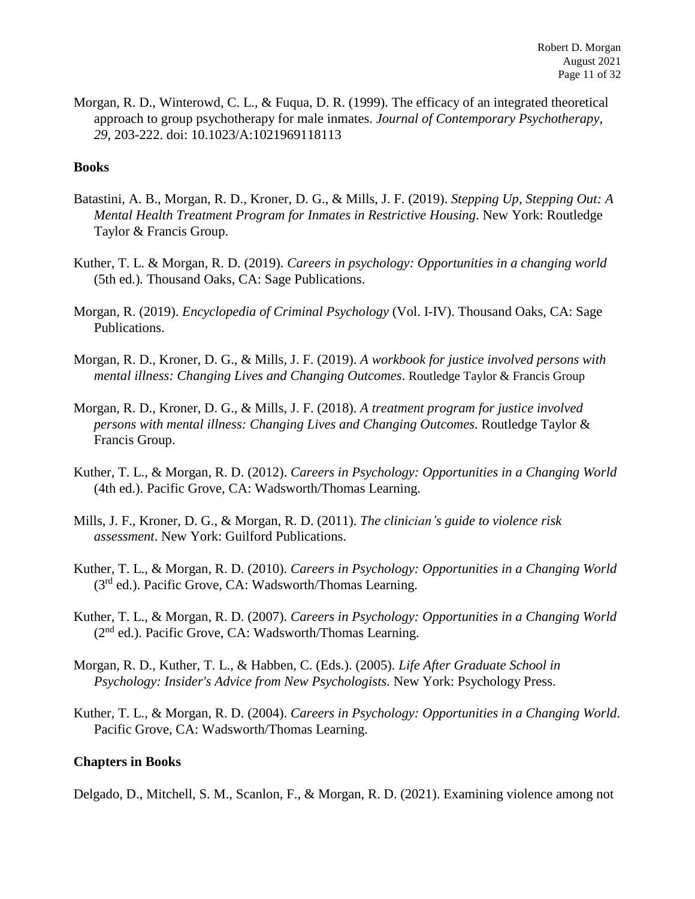Morgan, R. D., Winterowd, C. L., & Fuqua, D. R. (1999). The efficacy of an integrated theoretical approach to group psychotherapy for male inmates. *Journal of Contemporary Psychotherapy, 29,* 203-222. doi: 10.1023/A:1021969118113

### **Books**

- Batastini, A. B., Morgan, R. D., Kroner, D. G., & Mills, J. F. (2019). *Stepping Up, Stepping Out: A Mental Health Treatment Program for Inmates in Restrictive Housing*. New York: Routledge Taylor & Francis Group.
- Kuther, T. L. & Morgan, R. D. (2019). *Careers in psychology: Opportunities in a changing world* (5th ed.)*.* Thousand Oaks, CA: Sage Publications.
- Morgan, R. (2019). *Encyclopedia of Criminal Psychology* (Vol. I-IV). Thousand Oaks, CA: Sage Publications.
- Morgan, R. D., Kroner, D. G., & Mills, J. F. (2019). *A workbook for justice involved persons with mental illness: Changing Lives and Changing Outcomes*. Routledge Taylor & Francis Group
- Morgan, R. D., Kroner, D. G., & Mills, J. F. (2018). *A treatment program for justice involved persons with mental illness: Changing Lives and Changing Outcomes*. Routledge Taylor & Francis Group.
- Kuther, T. L., & Morgan, R. D. (2012). *Careers in Psychology: Opportunities in a Changing World*  (4th ed.). Pacific Grove, CA: Wadsworth/Thomas Learning.
- Mills, J. F., Kroner, D. G., & Morgan, R. D. (2011). *The clinician's guide to violence risk assessment*. New York: Guilford Publications.
- Kuther, T. L., & Morgan, R. D. (2010). *Careers in Psychology: Opportunities in a Changing World*  (3<sup>rd</sup> ed.). Pacific Grove, CA: Wadsworth/Thomas Learning.
- Kuther, T. L., & Morgan, R. D. (2007). *Careers in Psychology: Opportunities in a Changing World*  (2nd ed.). Pacific Grove, CA: Wadsworth/Thomas Learning.
- Morgan, R. D., Kuther, T. L., & Habben, C. (Eds.). (2005). *Life After Graduate School in Psychology: Insider's Advice from New Psychologists.* New York: Psychology Press.
- Kuther, T. L., & Morgan, R. D. (2004). *Careers in Psychology: Opportunities in a Changing World*. Pacific Grove, CA: Wadsworth/Thomas Learning.

#### **Chapters in Books**

Delgado, D., Mitchell, S. M., Scanlon, F., & Morgan, R. D. (2021). Examining violence among not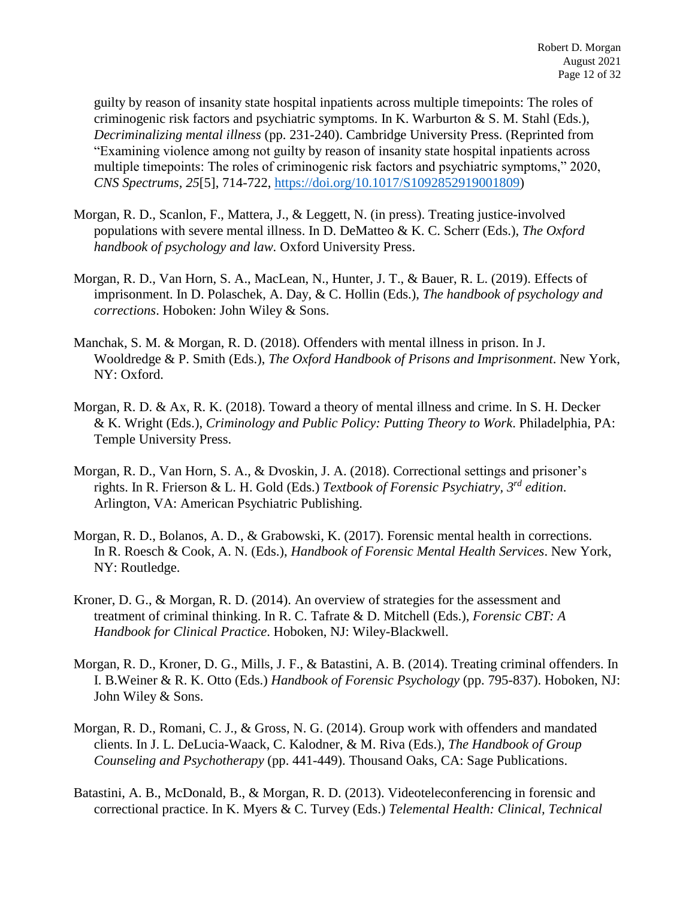guilty by reason of insanity state hospital inpatients across multiple timepoints: The roles of criminogenic risk factors and psychiatric symptoms. In K. Warburton & S. M. Stahl (Eds.), *Decriminalizing mental illness* (pp. 231-240). Cambridge University Press. (Reprinted from "Examining violence among not guilty by reason of insanity state hospital inpatients across multiple timepoints: The roles of criminogenic risk factors and psychiatric symptoms," 2020, *CNS Spectrums, 25*[5], 714-722, [https://doi.org/10.1017/S1092852919001809\)](https://nam04.safelinks.protection.outlook.com/?url=https%3A%2F%2Fdoi.org%2F10.1017%2FS1092852919001809&data=04%7C01%7CRobert.Morgan%40ttu.edu%7Ca45bb0ec5241471e37ee08d8d7540133%7C178a51bf8b2049ffb65556245d5c173c%7C0%7C0%7C637496103097256999%7CUnknown%7CTWFpbGZsb3d8eyJWIjoiMC4wLjAwMDAiLCJQIjoiV2luMzIiLCJBTiI6Ik1haWwiLCJXVCI6Mn0%3D%7C1000&sdata=njLIoZm5mGhu%2FnmqKhelG5T0YPq7TBzf0iFbBDnQzbs%3D&reserved=0)

- Morgan, R. D., Scanlon, F., Mattera, J., & Leggett, N. (in press). Treating justice-involved populations with severe mental illness. In D. DeMatteo & K. C. Scherr (Eds.), *The Oxford handbook of psychology and law.* Oxford University Press.
- Morgan, R. D., Van Horn, S. A., MacLean, N., Hunter, J. T., & Bauer, R. L. (2019). Effects of imprisonment. In D. Polaschek, A. Day, & C. Hollin (Eds.), *The handbook of psychology and corrections*. Hoboken: John Wiley & Sons.
- Manchak, S. M. & Morgan, R. D. (2018). Offenders with mental illness in prison. In J. Wooldredge & P. Smith (Eds.), *The Oxford Handbook of Prisons and Imprisonment*. New York, NY: Oxford.
- Morgan, R. D. & Ax, R. K. (2018). Toward a theory of mental illness and crime. In S. H. Decker & K. Wright (Eds.), *Criminology and Public Policy: Putting Theory to Work*. Philadelphia, PA: Temple University Press.
- Morgan, R. D., Van Horn, S. A., & Dvoskin, J. A. (2018). Correctional settings and prisoner's rights. In R. Frierson & L. H. Gold (Eds.) *Textbook of Forensic Psychiatry, 3rd edition*. Arlington, VA: American Psychiatric Publishing.
- Morgan, R. D., Bolanos, A. D., & Grabowski, K. (2017). Forensic mental health in corrections. In R. Roesch & Cook, A. N. (Eds.), *Handbook of Forensic Mental Health Services*. New York, NY: Routledge.
- Kroner, D. G., & Morgan, R. D. (2014). An overview of strategies for the assessment and treatment of criminal thinking. In R. C. Tafrate & D. Mitchell (Eds.), *Forensic CBT: A Handbook for Clinical Practice*. Hoboken, NJ: Wiley-Blackwell.
- Morgan, R. D., Kroner, D. G., Mills, J. F., & Batastini, A. B. (2014). Treating criminal offenders. In I. B.Weiner & R. K. Otto (Eds.) *Handbook of Forensic Psychology* (pp. 795-837). Hoboken, NJ: John Wiley & Sons.
- Morgan, R. D., Romani, C. J., & Gross, N. G. (2014). Group work with offenders and mandated clients. In J. L. DeLucia-Waack, C. Kalodner, & M. Riva (Eds.), *The Handbook of Group Counseling and Psychotherapy* (pp. 441-449). Thousand Oaks, CA: Sage Publications.
- Batastini, A. B., McDonald, B., & Morgan, R. D. (2013). Videoteleconferencing in forensic and correctional practice. In K. Myers & C. Turvey (Eds.) *Telemental Health: Clinical, Technical*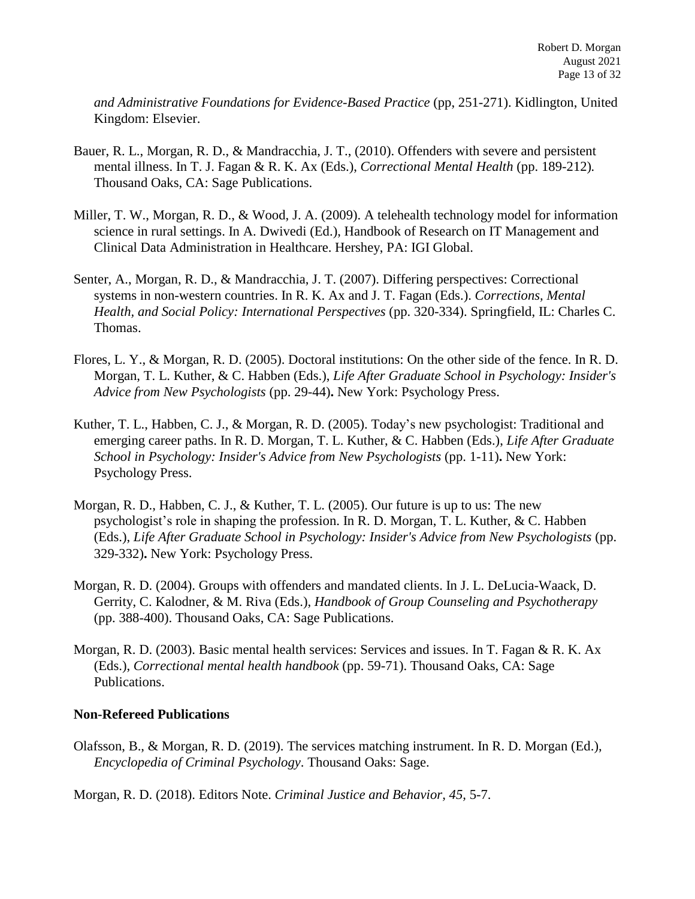*and Administrative Foundations for Evidence-Based Practice* (pp, 251-271). Kidlington, United Kingdom: Elsevier.

- Bauer, R. L., Morgan, R. D., & Mandracchia, J. T., (2010). Offenders with severe and persistent mental illness. In T. J. Fagan & R. K. Ax (Eds.), *Correctional Mental Health* (pp. 189-212)*.*  Thousand Oaks, CA: Sage Publications.
- Miller, T. W., Morgan, R. D., & Wood, J. A. (2009). A telehealth technology model for information science in rural settings. In A. Dwivedi (Ed.), Handbook of Research on IT Management and Clinical Data Administration in Healthcare. Hershey, PA: IGI Global.
- Senter, A., Morgan, R. D., & Mandracchia, J. T. (2007). Differing perspectives: Correctional systems in non-western countries. In R. K. Ax and J. T. Fagan (Eds.). *Corrections, Mental Health, and Social Policy: International Perspectives* (pp. 320-334). Springfield, IL: Charles C. Thomas.
- Flores, L. Y., & Morgan, R. D. (2005). Doctoral institutions: On the other side of the fence. In R. D. Morgan, T. L. Kuther, & C. Habben (Eds.), *Life After Graduate School in Psychology: Insider's Advice from New Psychologists* (pp. 29-44)**.** New York: Psychology Press.
- Kuther, T. L., Habben, C. J., & Morgan, R. D. (2005). Today's new psychologist: Traditional and emerging career paths. In R. D. Morgan, T. L. Kuther, & C. Habben (Eds.), *Life After Graduate School in Psychology: Insider's Advice from New Psychologists* (pp. 1-11)**.** New York: Psychology Press.
- Morgan, R. D., Habben, C. J., & Kuther, T. L. (2005). Our future is up to us: The new psychologist's role in shaping the profession. In R. D. Morgan, T. L. Kuther, & C. Habben (Eds.), *Life After Graduate School in Psychology: Insider's Advice from New Psychologists* (pp. 329-332)**.** New York: Psychology Press.
- Morgan, R. D. (2004). Groups with offenders and mandated clients. In J. L. DeLucia-Waack, D. Gerrity, C. Kalodner, & M. Riva (Eds.), *Handbook of Group Counseling and Psychotherapy* (pp. 388-400). Thousand Oaks, CA: Sage Publications.
- Morgan, R. D. (2003). Basic mental health services: Services and issues. In T. Fagan & R. K. Ax (Eds.), *Correctional mental health handbook* (pp. 59-71). Thousand Oaks, CA: Sage Publications.

## **Non-Refereed Publications**

Olafsson, B., & Morgan, R. D. (2019). The services matching instrument. In R. D. Morgan (Ed.), *Encyclopedia of Criminal Psychology*. Thousand Oaks: Sage.

Morgan, R. D. (2018). Editors Note. *Criminal Justice and Behavior, 45,* 5-7.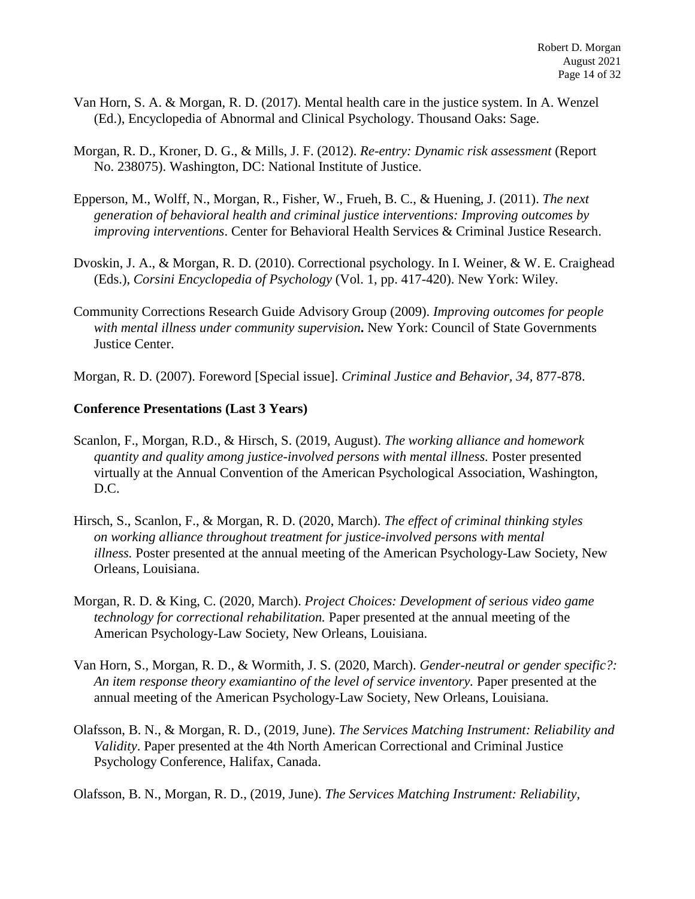- Van Horn, S. A. & Morgan, R. D. (2017). Mental health care in the justice system. In A. Wenzel (Ed.), Encyclopedia of Abnormal and Clinical Psychology. Thousand Oaks: Sage.
- Morgan, R. D., Kroner, D. G., & Mills, J. F. (2012). *Re-entry: Dynamic risk assessment* (Report No. 238075). Washington, DC: National Institute of Justice.
- Epperson, M., Wolff, N., Morgan, R., Fisher, W., Frueh, B. C., & Huening, J. (2011). *The next generation of behavioral health and criminal justice interventions: Improving outcomes by improving interventions*. Center for Behavioral Health Services & Criminal Justice Research.
- Dvoskin, J. A., & Morgan, R. D. (2010). Correctional psychology. In I. Weiner, & W. E. Craighead (Eds.), *Corsini Encyclopedia of Psychology* (Vol. 1, pp. 417-420). New York: Wiley.
- Community Corrections Research Guide Advisory Group (2009). *Improving outcomes for people with mental illness under community supervision***.** New York: Council of State Governments Justice Center.
- Morgan, R. D. (2007). Foreword [Special issue]. *Criminal Justice and Behavior, 34,* 877-878.

#### **Conference Presentations (Last 3 Years)**

- Scanlon, F., Morgan, R.D., & Hirsch, S. (2019, August). *The working alliance and homework quantity and quality among justice-involved persons with mental illness.* Poster presented virtually at the Annual Convention of the American Psychological Association, Washington, D.C.
- Hirsch, S., Scanlon, F., & Morgan, R. D. (2020, March). *The effect of criminal thinking styles on working alliance throughout treatment for justice-involved persons with mental illness.* Poster presented at the annual meeting of the American Psychology-Law Society, New Orleans, Louisiana.
- Morgan, R. D. & King, C. (2020, March). *Project Choices: Development of serious video game technology for correctional rehabilitation.* Paper presented at the annual meeting of the American Psychology-Law Society, New Orleans, Louisiana.
- Van Horn, S., Morgan, R. D., & Wormith, J. S. (2020, March). *Gender-neutral or gender specific?: An item response theory examiantino of the level of service inventory.* Paper presented at the annual meeting of the American Psychology-Law Society, New Orleans, Louisiana.
- Olafsson, B. N., & Morgan, R. D., (2019, June). *The Services Matching Instrument: Reliability and Validity*. Paper presented at the 4th North American Correctional and Criminal Justice Psychology Conference, Halifax, Canada.

Olafsson, B. N., Morgan, R. D., (2019, June). *The Services Matching Instrument: Reliability,*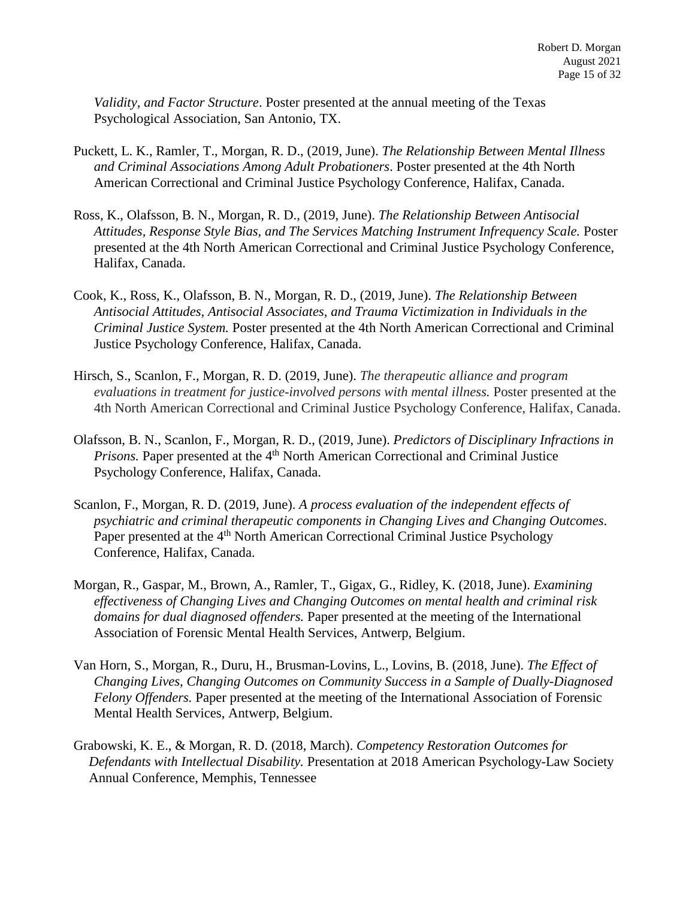*Validity, and Factor Structure*. Poster presented at the annual meeting of the Texas Psychological Association, San Antonio, TX.

- Puckett, L. K., Ramler, T., Morgan, R. D., (2019, June). *The Relationship Between Mental Illness and Criminal Associations Among Adult Probationers*. Poster presented at the 4th North American Correctional and Criminal Justice Psychology Conference, Halifax, Canada.
- Ross, K., Olafsson, B. N., Morgan, R. D., (2019, June). *The Relationship Between Antisocial Attitudes, Response Style Bias, and The Services Matching Instrument Infrequency Scale.* Poster presented at the 4th North American Correctional and Criminal Justice Psychology Conference, Halifax, Canada.
- Cook, K., Ross, K., Olafsson, B. N., Morgan, R. D., (2019, June). *The Relationship Between Antisocial Attitudes, Antisocial Associates, and Trauma Victimization in Individuals in the Criminal Justice System.* Poster presented at the 4th North American Correctional and Criminal Justice Psychology Conference, Halifax, Canada.
- Hirsch, S., Scanlon, F., Morgan, R. D. (2019, June). *The therapeutic alliance and program evaluations in treatment for justice-involved persons with mental illness.* Poster presented at the 4th North American Correctional and Criminal Justice Psychology Conference, Halifax, Canada.
- Olafsson, B. N., Scanlon, F., Morgan, R. D., (2019, June). *Predictors of Disciplinary Infractions in Prisons.* Paper presented at the 4<sup>th</sup> North American Correctional and Criminal Justice Psychology Conference, Halifax, Canada.
- Scanlon, F., Morgan, R. D. (2019, June). *A process evaluation of the independent effects of psychiatric and criminal therapeutic components in Changing Lives and Changing Outcomes*. Paper presented at the 4<sup>th</sup> North American Correctional Criminal Justice Psychology Conference, Halifax, Canada.
- Morgan, R., Gaspar, M., Brown, A., Ramler, T., Gigax, G., Ridley, K. (2018, June). *Examining effectiveness of Changing Lives and Changing Outcomes on mental health and criminal risk domains for dual diagnosed offenders.* Paper presented at the meeting of the International Association of Forensic Mental Health Services, Antwerp, Belgium.
- Van Horn, S., Morgan, R., Duru, H., Brusman-Lovins, L., Lovins, B. (2018, June). *The Effect of Changing Lives, Changing Outcomes on Community Success in a Sample of Dually-Diagnosed Felony Offenders.* Paper presented at the meeting of the International Association of Forensic Mental Health Services, Antwerp, Belgium.
- Grabowski, K. E., & Morgan, R. D. (2018, March). *Competency Restoration Outcomes for Defendants with Intellectual Disability.* Presentation at 2018 American Psychology-Law Society Annual Conference, Memphis, Tennessee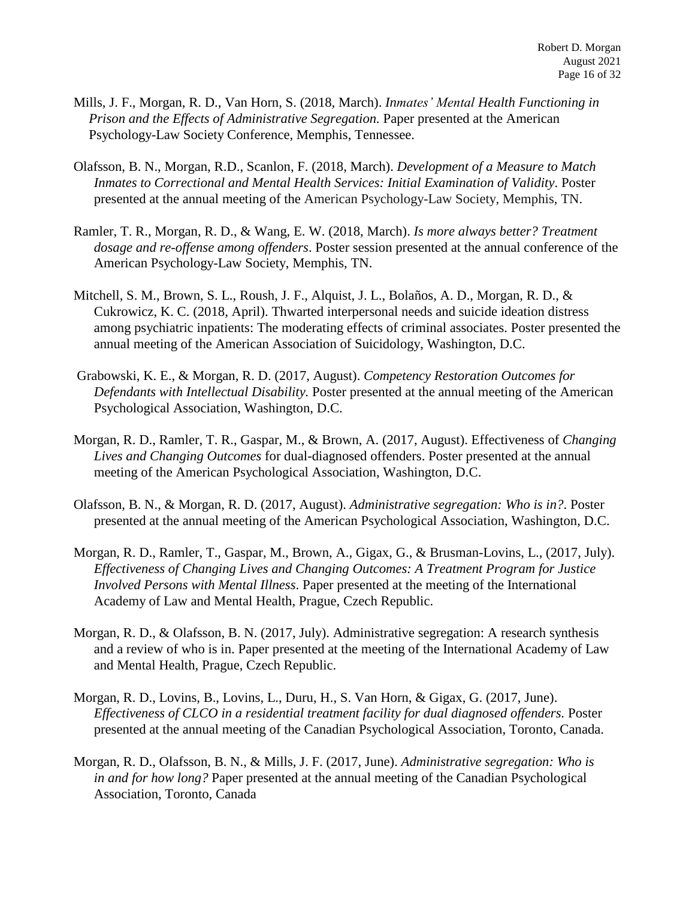- Mills, J. F., Morgan, R. D., Van Horn, S. (2018, March). *Inmates' Mental Health Functioning in Prison and the Effects of Administrative Segregation.* Paper presented at the American Psychology-Law Society Conference, Memphis, Tennessee.
- Olafsson, B. N., Morgan, R.D., Scanlon, F. (2018, March). *Development of a Measure to Match Inmates to Correctional and Mental Health Services: Initial Examination of Validity*. Poster presented at the annual meeting of the American Psychology-Law Society, Memphis, TN.
- Ramler, T. R., Morgan, R. D., & Wang, E. W. (2018, March). *Is more always better? Treatment dosage and re-offense among offenders*. Poster session presented at the annual conference of the American Psychology-Law Society, Memphis, TN.
- Mitchell, S. M., Brown, S. L., Roush, J. F., Alquist, J. L., Bolaños, A. D., Morgan, R. D., & Cukrowicz, K. C. (2018, April). Thwarted interpersonal needs and suicide ideation distress among psychiatric inpatients: The moderating effects of criminal associates. Poster presented the annual meeting of the American Association of Suicidology, Washington, D.C.
- Grabowski, K. E., & Morgan, R. D. (2017, August). *Competency Restoration Outcomes for Defendants with Intellectual Disability.* Poster presented at the annual meeting of the American Psychological Association, Washington, D.C.
- Morgan, R. D., Ramler, T. R., Gaspar, M., & Brown, A. (2017, August). Effectiveness of *Changing Lives and Changing Outcomes* for dual-diagnosed offenders. Poster presented at the annual meeting of the American Psychological Association, Washington, D.C.
- Olafsson, B. N., & Morgan, R. D. (2017, August). *Administrative segregation: Who is in?*. Poster presented at the annual meeting of the American Psychological Association, Washington, D.C.
- Morgan, R. D., Ramler, T., Gaspar, M., Brown, A., Gigax, G., & Brusman-Lovins, L., (2017, July). *Effectiveness of Changing Lives and Changing Outcomes: A Treatment Program for Justice Involved Persons with Mental Illness*. Paper presented at the meeting of the International Academy of Law and Mental Health, Prague, Czech Republic.
- Morgan, R. D., & Olafsson, B. N. (2017, July). Administrative segregation: A research synthesis and a review of who is in. Paper presented at the meeting of the International Academy of Law and Mental Health, Prague, Czech Republic.
- Morgan, R. D., Lovins, B., Lovins, L., Duru, H., S. Van Horn, & Gigax, G. (2017, June). *Effectiveness of CLCO in a residential treatment facility for dual diagnosed offenders.* Poster presented at the annual meeting of the Canadian Psychological Association, Toronto, Canada.
- Morgan, R. D., Olafsson, B. N., & Mills, J. F. (2017, June). *Administrative segregation: Who is in and for how long?* Paper presented at the annual meeting of the Canadian Psychological Association, Toronto, Canada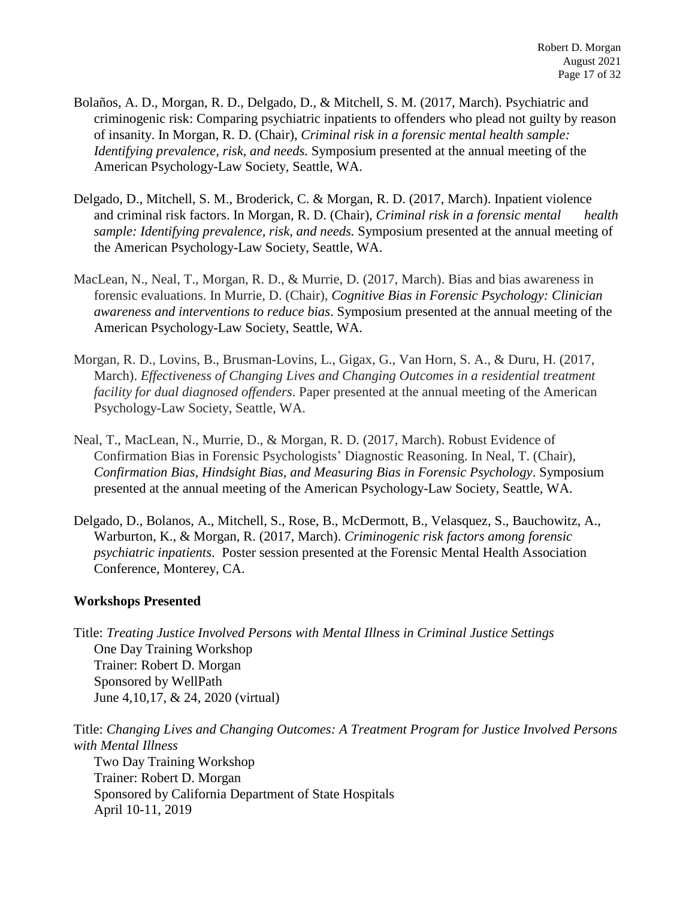- Bolaños, A. D., Morgan, R. D., Delgado, D., & Mitchell, S. M. (2017, March). Psychiatric and criminogenic risk: Comparing psychiatric inpatients to offenders who plead not guilty by reason of insanity. In Morgan, R. D. (Chair), *Criminal risk in a forensic mental health sample: Identifying prevalence, risk, and needs.* Symposium presented at the annual meeting of the American Psychology-Law Society, Seattle, WA.
- Delgado, D., Mitchell, S. M., Broderick, C. & Morgan, R. D. (2017, March). Inpatient violence and criminal risk factors. In Morgan, R. D. (Chair), *Criminal risk in a forensic mental health sample: Identifying prevalence, risk, and needs.* Symposium presented at the annual meeting of the American Psychology-Law Society, Seattle, WA.
- MacLean, N., Neal, T., Morgan, R. D., & Murrie, D. (2017, March). Bias and bias awareness in forensic evaluations. In Murrie, D. (Chair), *Cognitive Bias in Forensic Psychology: Clinician awareness and interventions to reduce bias*. Symposium presented at the annual meeting of the American Psychology-Law Society, Seattle, WA.
- Morgan, R. D., Lovins, B., Brusman-Lovins, L., Gigax, G., Van Horn, S. A., & Duru, H. (2017, March). *Effectiveness of Changing Lives and Changing Outcomes in a residential treatment facility for dual diagnosed offenders*. Paper presented at the annual meeting of the American Psychology-Law Society, Seattle, WA.
- Neal, T., MacLean, N., Murrie, D., & Morgan, R. D. (2017, March). Robust Evidence of Confirmation Bias in Forensic Psychologists' Diagnostic Reasoning. In Neal, T. (Chair), *Confirmation Bias, Hindsight Bias, and Measuring Bias in Forensic Psychology*. Symposium presented at the annual meeting of the American Psychology-Law Society, Seattle, WA.
- Delgado, D., Bolanos, A., Mitchell, S., Rose, B., McDermott, B., Velasquez, S., Bauchowitz, A., Warburton, K., & Morgan, R. (2017, March). *Criminogenic risk factors among forensic psychiatric inpatients*. Poster session presented at the Forensic Mental Health Association Conference, Monterey, CA.

#### **Workshops Presented**

Title: *Treating Justice Involved Persons with Mental Illness in Criminal Justice Settings* One Day Training Workshop Trainer: Robert D. Morgan Sponsored by WellPath June 4,10,17, & 24, 2020 (virtual)

Title: *Changing Lives and Changing Outcomes: A Treatment Program for Justice Involved Persons with Mental Illness* Two Day Training Workshop Trainer: Robert D. Morgan Sponsored by California Department of State Hospitals April 10-11, 2019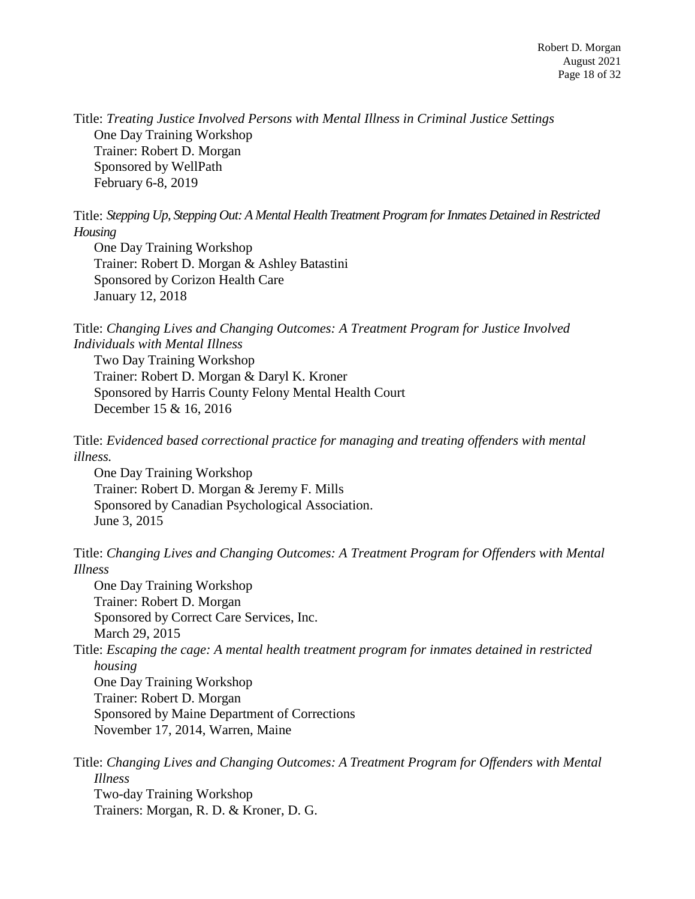Title: *Treating Justice Involved Persons with Mental Illness in Criminal Justice Settings* One Day Training Workshop Trainer: Robert D. Morgan Sponsored by WellPath February 6-8, 2019

Title: *Stepping Up, Stepping Out: A Mental Health Treatment Program for Inmates Detained in Restricted Housing*

One Day Training Workshop Trainer: Robert D. Morgan & Ashley Batastini Sponsored by Corizon Health Care January 12, 2018

Title: *Changing Lives and Changing Outcomes: A Treatment Program for Justice Involved Individuals with Mental Illness*

Two Day Training Workshop Trainer: Robert D. Morgan & Daryl K. Kroner Sponsored by Harris County Felony Mental Health Court December 15 & 16, 2016

Title: *Evidenced based correctional practice for managing and treating offenders with mental illness.*

One Day Training Workshop Trainer: Robert D. Morgan & Jeremy F. Mills Sponsored by Canadian Psychological Association. June 3, 2015

Title: *Changing Lives and Changing Outcomes: A Treatment Program for Offenders with Mental Illness*

One Day Training Workshop Trainer: Robert D. Morgan Sponsored by Correct Care Services, Inc. March 29, 2015

Title: *Escaping the cage: A mental health treatment program for inmates detained in restricted housing*

One Day Training Workshop Trainer: Robert D. Morgan Sponsored by Maine Department of Corrections November 17, 2014, Warren, Maine

Title: *Changing Lives and Changing Outcomes: A Treatment Program for Offenders with Mental Illness* Two-day Training Workshop Trainers: Morgan, R. D. & Kroner, D. G.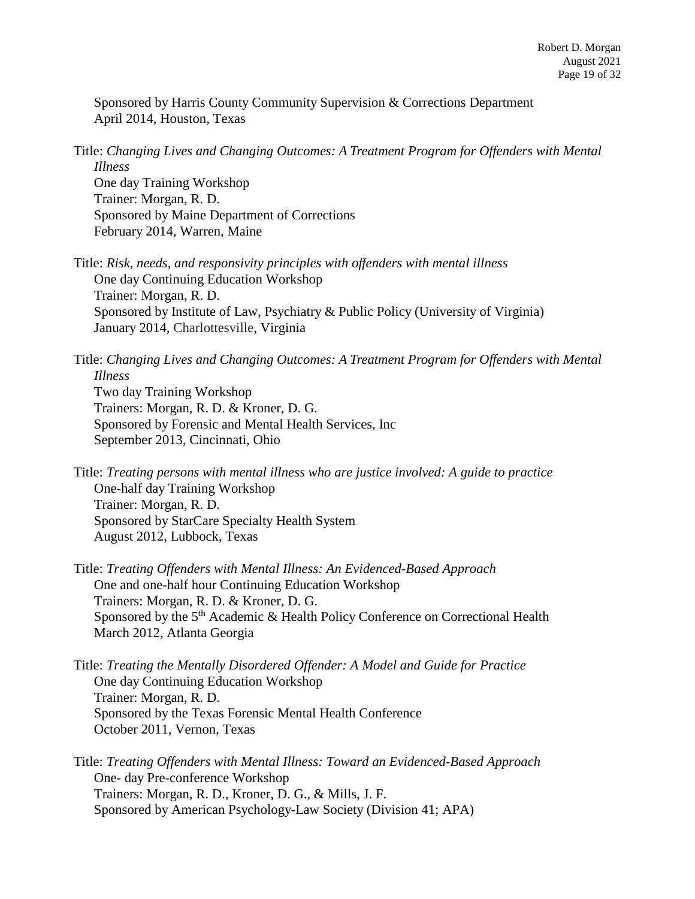Sponsored by Harris County Community Supervision & Corrections Department April 2014, Houston, Texas

Title: *Changing Lives and Changing Outcomes: A Treatment Program for Offenders with Mental Illness*

One day Training Workshop Trainer: Morgan, R. D. Sponsored by Maine Department of Corrections February 2014, Warren, Maine

Title: *Risk, needs, and responsivity principles with offenders with mental illness* One day Continuing Education Workshop Trainer: Morgan, R. D. Sponsored by Institute of Law, Psychiatry & Public Policy (University of Virginia) January 2014, Charlottesville, Virginia

Title: *Changing Lives and Changing Outcomes: A Treatment Program for Offenders with Mental Illness* Two day Training Workshop Trainers: Morgan, R. D. & Kroner, D. G. Sponsored by Forensic and Mental Health Services, Inc September 2013, Cincinnati, Ohio

Title: *Treating persons with mental illness who are justice involved: A guide to practice* One-half day Training Workshop Trainer: Morgan, R. D. Sponsored by StarCare Specialty Health System August 2012, Lubbock, Texas

Title: *Treating Offenders with Mental Illness: An Evidenced-Based Approach* One and one-half hour Continuing Education Workshop Trainers: Morgan, R. D. & Kroner, D. G. Sponsored by the 5<sup>th</sup> Academic & Health Policy Conference on Correctional Health March 2012, Atlanta Georgia

Title: *Treating the Mentally Disordered Offender: A Model and Guide for Practice* One day Continuing Education Workshop Trainer: Morgan, R. D. Sponsored by the Texas Forensic Mental Health Conference October 2011, Vernon, Texas

Title: *Treating Offenders with Mental Illness: Toward an Evidenced-Based Approach* One- day Pre-conference Workshop Trainers: Morgan, R. D., Kroner, D. G., & Mills, J. F. Sponsored by American Psychology-Law Society (Division 41; APA)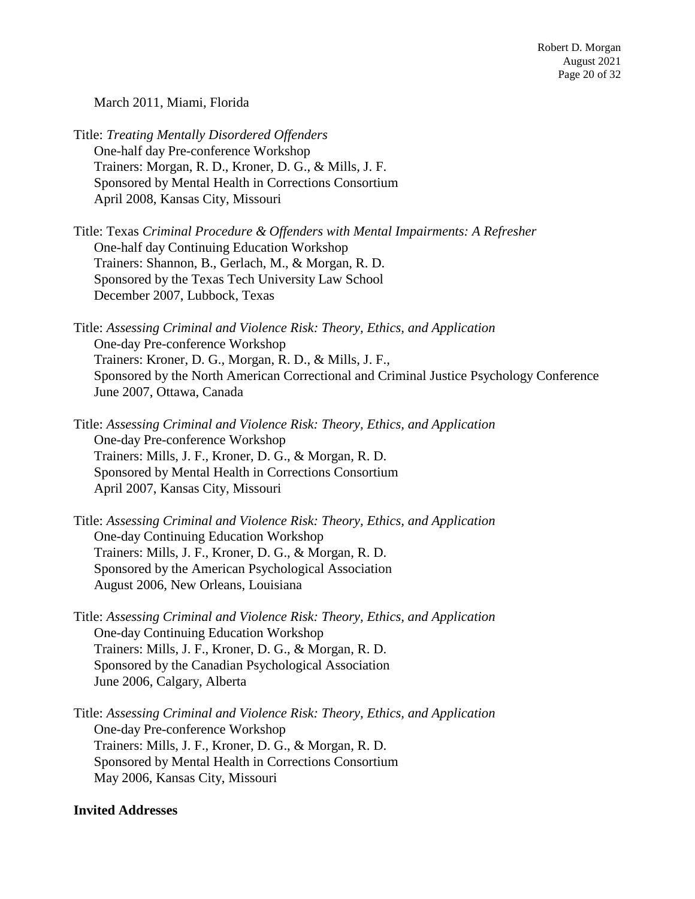March 2011, Miami, Florida

Title: *Treating Mentally Disordered Offenders* One-half day Pre-conference Workshop Trainers: Morgan, R. D., Kroner, D. G., & Mills, J. F. Sponsored by Mental Health in Corrections Consortium April 2008, Kansas City, Missouri

Title: Texas *Criminal Procedure & Offenders with Mental Impairments: A Refresher* One-half day Continuing Education Workshop Trainers: Shannon, B., Gerlach, M., & Morgan, R. D. Sponsored by the Texas Tech University Law School December 2007, Lubbock, Texas

Title: *Assessing Criminal and Violence Risk: Theory, Ethics, and Application* One-day Pre-conference Workshop Trainers: Kroner, D. G., Morgan, R. D., & Mills, J. F., Sponsored by the North American Correctional and Criminal Justice Psychology Conference June 2007, Ottawa, Canada

Title: *Assessing Criminal and Violence Risk: Theory, Ethics, and Application* One-day Pre-conference Workshop Trainers: Mills, J. F., Kroner, D. G., & Morgan, R. D. Sponsored by Mental Health in Corrections Consortium April 2007, Kansas City, Missouri

Title: *Assessing Criminal and Violence Risk: Theory, Ethics, and Application* One-day Continuing Education Workshop Trainers: Mills, J. F., Kroner, D. G., & Morgan, R. D. Sponsored by the American Psychological Association August 2006, New Orleans, Louisiana

Title: *Assessing Criminal and Violence Risk: Theory, Ethics, and Application* One-day Continuing Education Workshop Trainers: Mills, J. F., Kroner, D. G., & Morgan, R. D. Sponsored by the Canadian Psychological Association June 2006, Calgary, Alberta

Title: *Assessing Criminal and Violence Risk: Theory, Ethics, and Application* One-day Pre-conference Workshop Trainers: Mills, J. F., Kroner, D. G., & Morgan, R. D. Sponsored by Mental Health in Corrections Consortium May 2006, Kansas City, Missouri

#### **Invited Addresses**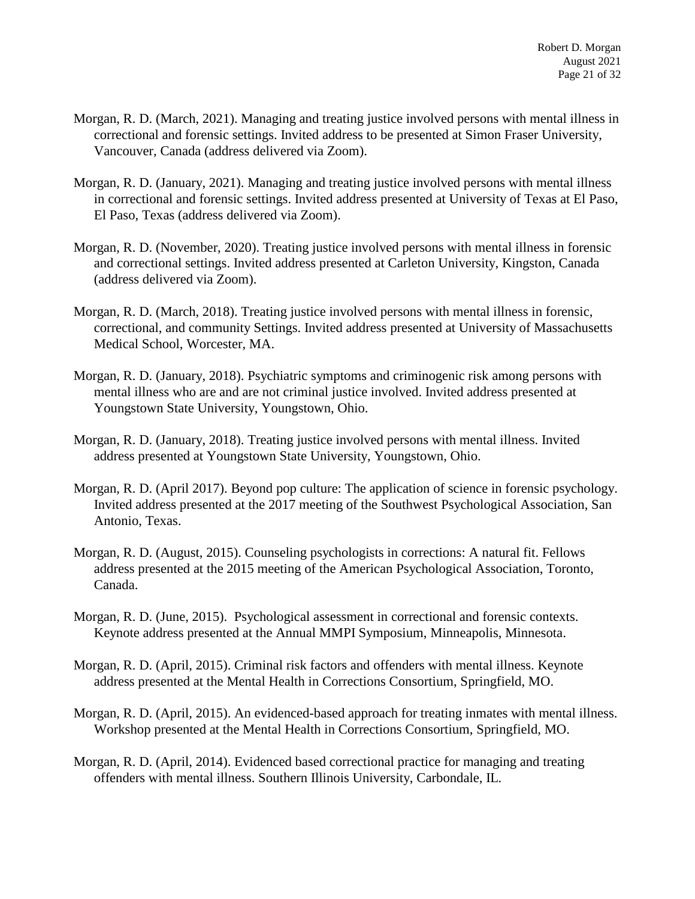- Morgan, R. D. (March, 2021). Managing and treating justice involved persons with mental illness in correctional and forensic settings. Invited address to be presented at Simon Fraser University, Vancouver, Canada (address delivered via Zoom).
- Morgan, R. D. (January, 2021). Managing and treating justice involved persons with mental illness in correctional and forensic settings. Invited address presented at University of Texas at El Paso, El Paso, Texas (address delivered via Zoom).
- Morgan, R. D. (November, 2020). Treating justice involved persons with mental illness in forensic and correctional settings. Invited address presented at Carleton University, Kingston, Canada (address delivered via Zoom).
- Morgan, R. D. (March, 2018). Treating justice involved persons with mental illness in forensic, correctional, and community Settings. Invited address presented at University of Massachusetts Medical School, Worcester, MA.
- Morgan, R. D. (January, 2018). Psychiatric symptoms and criminogenic risk among persons with mental illness who are and are not criminal justice involved. Invited address presented at Youngstown State University, Youngstown, Ohio.
- Morgan, R. D. (January, 2018). Treating justice involved persons with mental illness. Invited address presented at Youngstown State University, Youngstown, Ohio.
- Morgan, R. D. (April 2017). Beyond pop culture: The application of science in forensic psychology. Invited address presented at the 2017 meeting of the Southwest Psychological Association, San Antonio, Texas.
- Morgan, R. D. (August, 2015). Counseling psychologists in corrections: A natural fit. Fellows address presented at the 2015 meeting of the American Psychological Association, Toronto, Canada.
- Morgan, R. D. (June, 2015). Psychological assessment in correctional and forensic contexts. Keynote address presented at the Annual MMPI Symposium, Minneapolis, Minnesota.
- Morgan, R. D. (April, 2015). Criminal risk factors and offenders with mental illness. Keynote address presented at the Mental Health in Corrections Consortium, Springfield, MO.
- Morgan, R. D. (April, 2015). An evidenced-based approach for treating inmates with mental illness. Workshop presented at the Mental Health in Corrections Consortium, Springfield, MO.
- Morgan, R. D. (April, 2014). Evidenced based correctional practice for managing and treating offenders with mental illness. Southern Illinois University, Carbondale, IL.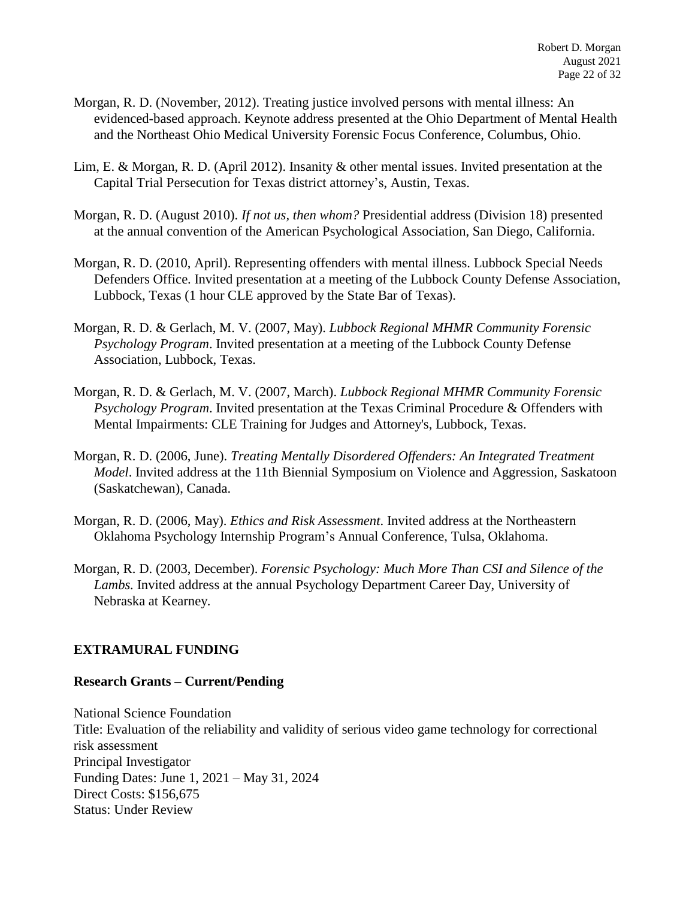- Morgan, R. D. (November, 2012). Treating justice involved persons with mental illness: An evidenced-based approach. Keynote address presented at the Ohio Department of Mental Health and the Northeast Ohio Medical University Forensic Focus Conference, Columbus, Ohio.
- Lim, E. & Morgan, R. D. (April 2012). Insanity & other mental issues. Invited presentation at the Capital Trial Persecution for Texas district attorney's, Austin, Texas.
- Morgan, R. D. (August 2010). *If not us, then whom?* Presidential address (Division 18) presented at the annual convention of the American Psychological Association, San Diego, California.
- Morgan, R. D. (2010, April). Representing offenders with mental illness. Lubbock Special Needs Defenders Office. Invited presentation at a meeting of the Lubbock County Defense Association, Lubbock, Texas (1 hour CLE approved by the State Bar of Texas).
- Morgan, R. D. & Gerlach, M. V. (2007, May). *Lubbock Regional MHMR Community Forensic Psychology Program*. Invited presentation at a meeting of the Lubbock County Defense Association, Lubbock, Texas.
- Morgan, R. D. & Gerlach, M. V. (2007, March). *Lubbock Regional MHMR Community Forensic Psychology Program*. Invited presentation at the Texas Criminal Procedure & Offenders with Mental Impairments: CLE Training for Judges and Attorney's, Lubbock, Texas.
- Morgan, R. D. (2006, June). *Treating Mentally Disordered Offenders: An Integrated Treatment Model*. Invited address at the 11th Biennial Symposium on Violence and Aggression, Saskatoon (Saskatchewan), Canada.
- Morgan, R. D. (2006, May). *Ethics and Risk Assessment*. Invited address at the Northeastern Oklahoma Psychology Internship Program's Annual Conference, Tulsa, Oklahoma.
- Morgan, R. D. (2003, December). *Forensic Psychology: Much More Than CSI and Silence of the Lambs.* Invited address at the annual Psychology Department Career Day, University of Nebraska at Kearney.

## **EXTRAMURAL FUNDING**

## **Research Grants – Current/Pending**

National Science Foundation Title: Evaluation of the reliability and validity of serious video game technology for correctional risk assessment Principal Investigator Funding Dates: June 1, 2021 – May 31, 2024 Direct Costs: \$156,675 Status: Under Review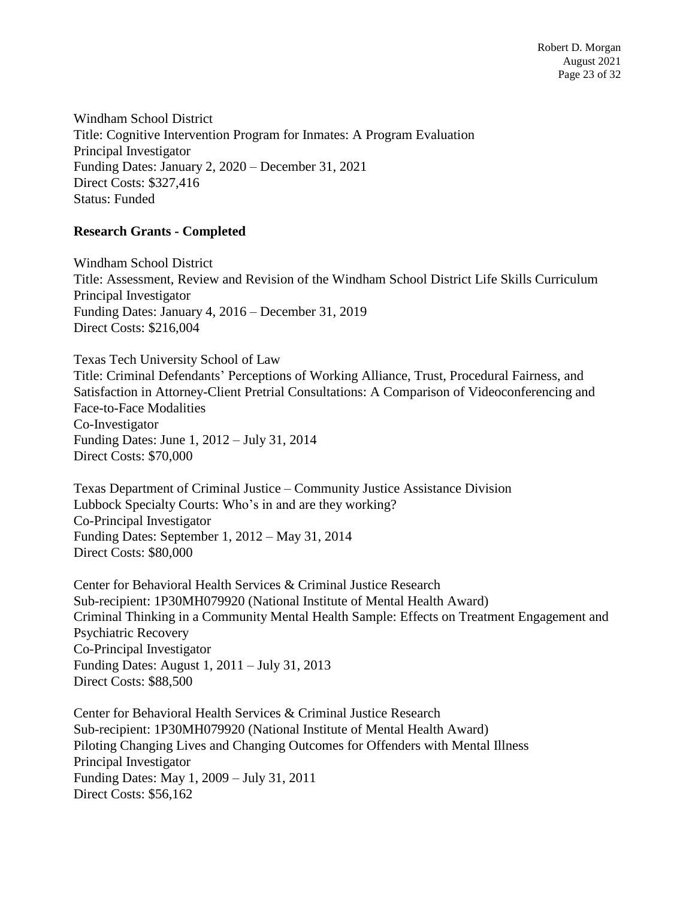Windham School District Title: Cognitive Intervention Program for Inmates: A Program Evaluation Principal Investigator Funding Dates: January 2, 2020 – December 31, 2021 Direct Costs: \$327,416 Status: Funded

### **Research Grants - Completed**

Windham School District Title: Assessment, Review and Revision of the Windham School District Life Skills Curriculum Principal Investigator Funding Dates: January 4, 2016 – December 31, 2019 Direct Costs: \$216,004

Texas Tech University School of Law

Title: Criminal Defendants' Perceptions of Working Alliance, Trust, Procedural Fairness, and Satisfaction in Attorney-Client Pretrial Consultations: A Comparison of Videoconferencing and Face-to-Face Modalities Co-Investigator Funding Dates: June 1, 2012 – July 31, 2014 Direct Costs: \$70,000

Texas Department of Criminal Justice – Community Justice Assistance Division Lubbock Specialty Courts: Who's in and are they working? Co-Principal Investigator Funding Dates: September 1, 2012 – May 31, 2014 Direct Costs: \$80,000

Center for Behavioral Health Services & Criminal Justice Research Sub-recipient: 1P30MH079920 (National Institute of Mental Health Award) Criminal Thinking in a Community Mental Health Sample: Effects on Treatment Engagement and Psychiatric Recovery Co-Principal Investigator Funding Dates: August 1, 2011 – July 31, 2013 Direct Costs: \$88,500

Center for Behavioral Health Services & Criminal Justice Research Sub-recipient: 1P30MH079920 (National Institute of Mental Health Award) Piloting Changing Lives and Changing Outcomes for Offenders with Mental Illness Principal Investigator Funding Dates: May 1, 2009 – July 31, 2011 Direct Costs: \$56,162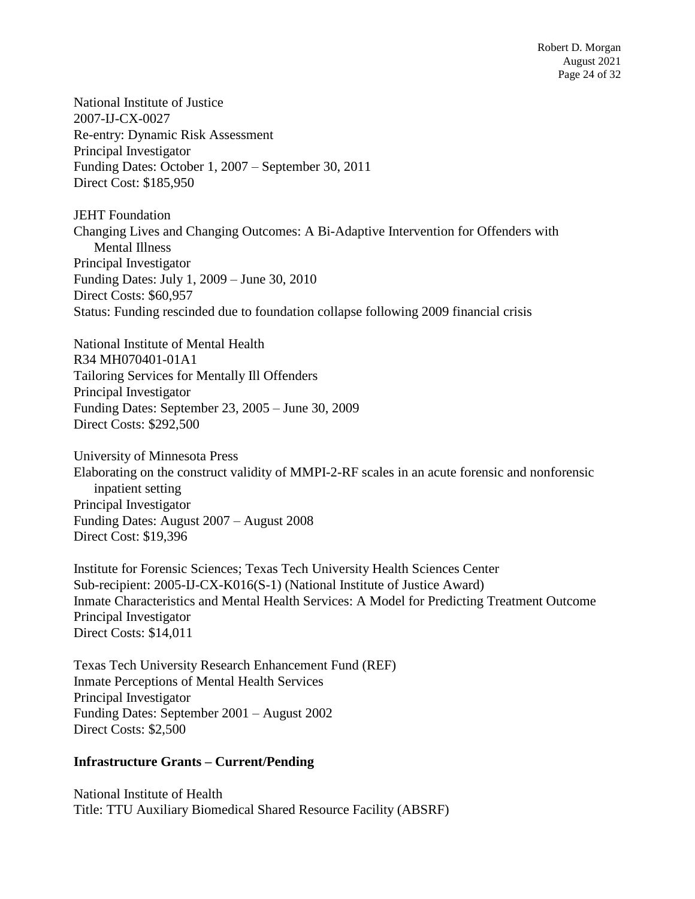National Institute of Justice 2007-IJ-CX-0027 Re-entry: Dynamic Risk Assessment Principal Investigator Funding Dates: October 1, 2007 – September 30, 2011 Direct Cost: \$185,950

JEHT Foundation Changing Lives and Changing Outcomes: A Bi-Adaptive Intervention for Offenders with Mental Illness Principal Investigator Funding Dates: July 1, 2009 – June 30, 2010 Direct Costs: \$60,957 Status: Funding rescinded due to foundation collapse following 2009 financial crisis

National Institute of Mental Health R34 MH070401-01A1 Tailoring Services for Mentally Ill Offenders Principal Investigator Funding Dates: September 23, 2005 – June 30, 2009 Direct Costs: \$292,500

University of Minnesota Press Elaborating on the construct validity of MMPI-2-RF scales in an acute forensic and nonforensic inpatient setting Principal Investigator Funding Dates: August 2007 – August 2008 Direct Cost: \$19,396

Institute for Forensic Sciences; Texas Tech University Health Sciences Center Sub-recipient: 2005-IJ-CX-K016(S-1) (National Institute of Justice Award) Inmate Characteristics and Mental Health Services: A Model for Predicting Treatment Outcome Principal Investigator Direct Costs: \$14,011

Texas Tech University Research Enhancement Fund (REF) Inmate Perceptions of Mental Health Services Principal Investigator Funding Dates: September 2001 – August 2002 Direct Costs: \$2,500

#### **Infrastructure Grants – Current/Pending**

National Institute of Health Title: TTU Auxiliary Biomedical Shared Resource Facility (ABSRF)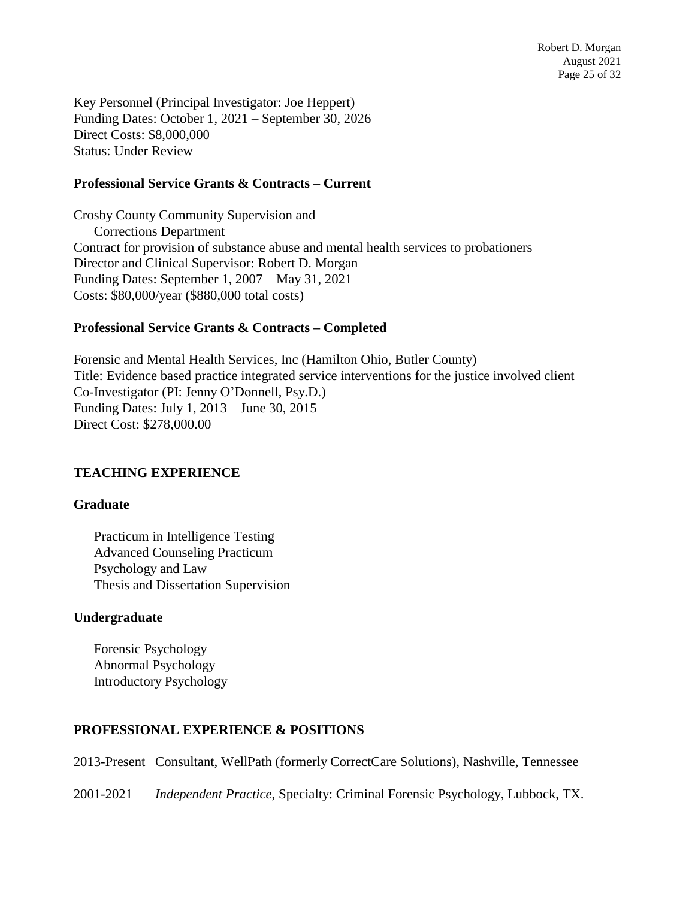Key Personnel (Principal Investigator: Joe Heppert) Funding Dates: October 1, 2021 – September 30, 2026 Direct Costs: \$8,000,000 Status: Under Review

#### **Professional Service Grants & Contracts – Current**

Crosby County Community Supervision and Corrections Department Contract for provision of substance abuse and mental health services to probationers Director and Clinical Supervisor: Robert D. Morgan Funding Dates: September 1, 2007 – May 31, 2021 Costs: \$80,000/year (\$880,000 total costs)

### **Professional Service Grants & Contracts – Completed**

Forensic and Mental Health Services, Inc (Hamilton Ohio, Butler County) Title: Evidence based practice integrated service interventions for the justice involved client Co-Investigator (PI: Jenny O'Donnell, Psy.D.) Funding Dates: July 1, 2013 – June 30, 2015 Direct Cost: \$278,000.00

## **TEACHING EXPERIENCE**

#### **Graduate**

Practicum in Intelligence Testing Advanced Counseling Practicum Psychology and Law Thesis and Dissertation Supervision

#### **Undergraduate**

Forensic Psychology Abnormal Psychology Introductory Psychology

## **PROFESSIONAL EXPERIENCE & POSITIONS**

2013-Present Consultant, WellPath (formerly CorrectCare Solutions), Nashville, Tennessee

2001-2021 *Independent Practice*, Specialty: Criminal Forensic Psychology, Lubbock, TX.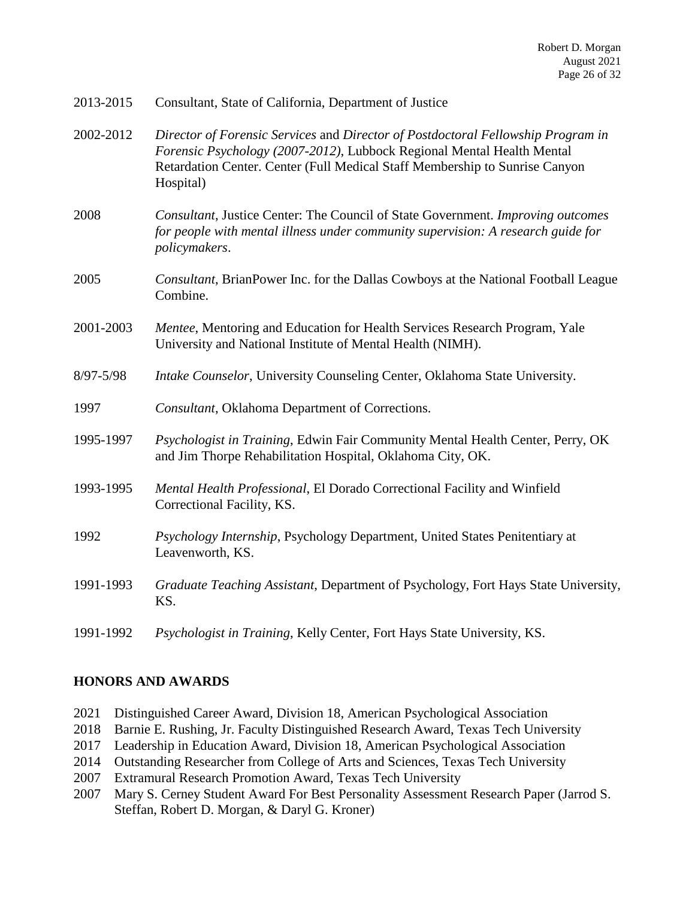| 2013-2015     | Consultant, State of California, Department of Justice                                                                                                                                                                                                 |
|---------------|--------------------------------------------------------------------------------------------------------------------------------------------------------------------------------------------------------------------------------------------------------|
| 2002-2012     | Director of Forensic Services and Director of Postdoctoral Fellowship Program in<br>Forensic Psychology (2007-2012), Lubbock Regional Mental Health Mental<br>Retardation Center. Center (Full Medical Staff Membership to Sunrise Canyon<br>Hospital) |
| 2008          | Consultant, Justice Center: The Council of State Government. Improving outcomes<br>for people with mental illness under community supervision: A research guide for<br>policymakers.                                                                   |
| 2005          | Consultant, BrianPower Inc. for the Dallas Cowboys at the National Football League<br>Combine.                                                                                                                                                         |
| 2001-2003     | Mentee, Mentoring and Education for Health Services Research Program, Yale<br>University and National Institute of Mental Health (NIMH).                                                                                                               |
| $8/97 - 5/98$ | Intake Counselor, University Counseling Center, Oklahoma State University.                                                                                                                                                                             |
| 1997          | Consultant, Oklahoma Department of Corrections.                                                                                                                                                                                                        |
| 1995-1997     | Psychologist in Training, Edwin Fair Community Mental Health Center, Perry, OK<br>and Jim Thorpe Rehabilitation Hospital, Oklahoma City, OK.                                                                                                           |
| 1993-1995     | Mental Health Professional, El Dorado Correctional Facility and Winfield<br>Correctional Facility, KS.                                                                                                                                                 |
| 1992          | Psychology Internship, Psychology Department, United States Penitentiary at<br>Leavenworth, KS.                                                                                                                                                        |
| 1991-1993     | Graduate Teaching Assistant, Department of Psychology, Fort Hays State University,<br>KS.                                                                                                                                                              |
| 1991-1992     | Psychologist in Training, Kelly Center, Fort Hays State University, KS.                                                                                                                                                                                |

## **HONORS AND AWARDS**

- 2021 Distinguished Career Award, Division 18, American Psychological Association
- 2018 Barnie E. Rushing, Jr. Faculty Distinguished Research Award, Texas Tech University
- 2017 Leadership in Education Award, Division 18, American Psychological Association
- 2014 Outstanding Researcher from College of Arts and Sciences, Texas Tech University
- 2007 Extramural Research Promotion Award, Texas Tech University
- 2007 Mary S. Cerney Student Award For Best Personality Assessment Research Paper (Jarrod S. Steffan, Robert D. Morgan, & Daryl G. Kroner)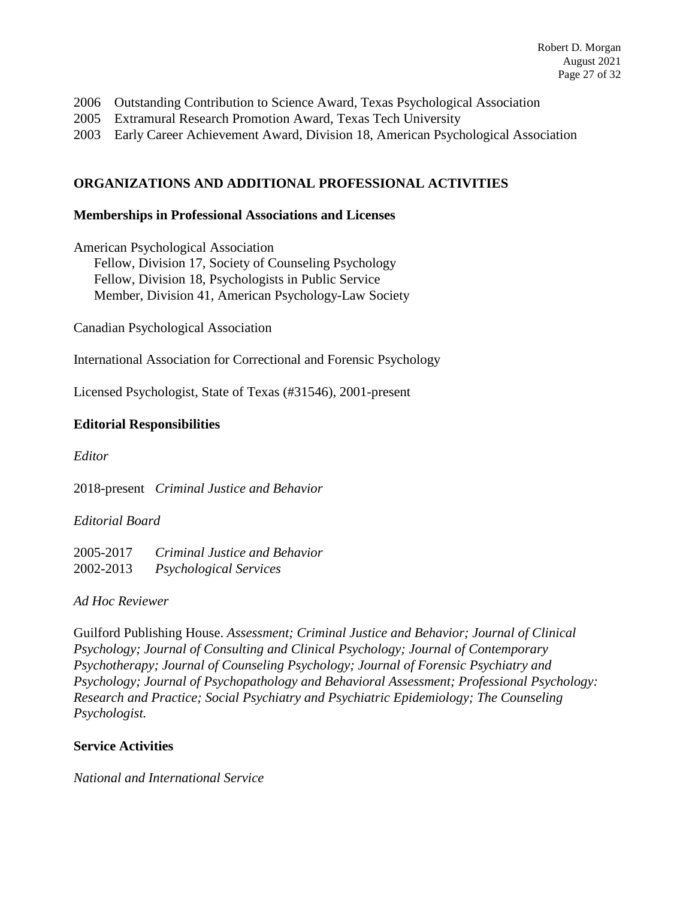- 2006 Outstanding Contribution to Science Award, Texas Psychological Association
- 2005 Extramural Research Promotion Award, Texas Tech University
- 2003 Early Career Achievement Award, Division 18, American Psychological Association

## **ORGANIZATIONS AND ADDITIONAL PROFESSIONAL ACTIVITIES**

#### **Memberships in Professional Associations and Licenses**

American Psychological Association Fellow, Division 17, Society of Counseling Psychology Fellow, Division 18, Psychologists in Public Service Member, Division 41, American Psychology-Law Society

Canadian Psychological Association

International Association for Correctional and Forensic Psychology

Licensed Psychologist, State of Texas (#31546), 2001-present

### **Editorial Responsibilities**

*Editor*

2018-present *Criminal Justice and Behavior*

*Editorial Board*

2005-2017 *Criminal Justice and Behavior* 2002-2013 *Psychological Services*

*Ad Hoc Reviewer*

Guilford Publishing House. *Assessment; Criminal Justice and Behavior; Journal of Clinical Psychology; Journal of Consulting and Clinical Psychology; Journal of Contemporary Psychotherapy; Journal of Counseling Psychology; Journal of Forensic Psychiatry and Psychology; Journal of Psychopathology and Behavioral Assessment; Professional Psychology: Research and Practice; Social Psychiatry and Psychiatric Epidemiology; The Counseling Psychologist.*

#### **Service Activities**

*National and International Service*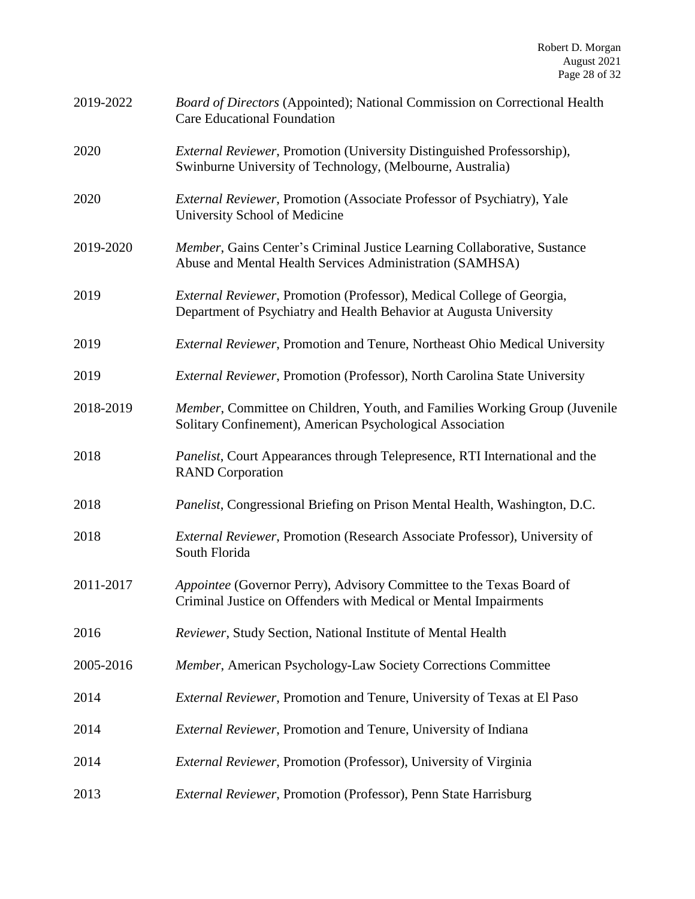| 2019-2022 | Board of Directors (Appointed); National Commission on Correctional Health<br><b>Care Educational Foundation</b>                             |
|-----------|----------------------------------------------------------------------------------------------------------------------------------------------|
| 2020      | <i>External Reviewer</i> , Promotion (University Distinguished Professorship),<br>Swinburne University of Technology, (Melbourne, Australia) |
| 2020      | External Reviewer, Promotion (Associate Professor of Psychiatry), Yale<br>University School of Medicine                                      |
| 2019-2020 | Member, Gains Center's Criminal Justice Learning Collaborative, Sustance<br>Abuse and Mental Health Services Administration (SAMHSA)         |
| 2019      | External Reviewer, Promotion (Professor), Medical College of Georgia,<br>Department of Psychiatry and Health Behavior at Augusta University  |
| 2019      | External Reviewer, Promotion and Tenure, Northeast Ohio Medical University                                                                   |
| 2019      | <i>External Reviewer</i> , Promotion (Professor), North Carolina State University                                                            |
| 2018-2019 | Member, Committee on Children, Youth, and Families Working Group (Juvenile<br>Solitary Confinement), American Psychological Association      |
| 2018      | Panelist, Court Appearances through Telepresence, RTI International and the<br><b>RAND</b> Corporation                                       |
| 2018      | Panelist, Congressional Briefing on Prison Mental Health, Washington, D.C.                                                                   |
| 2018      | External Reviewer, Promotion (Research Associate Professor), University of<br>South Florida                                                  |
| 2011-2017 | Appointee (Governor Perry), Advisory Committee to the Texas Board of<br>Criminal Justice on Offenders with Medical or Mental Impairments     |
| 2016      | Reviewer, Study Section, National Institute of Mental Health                                                                                 |
| 2005-2016 | Member, American Psychology-Law Society Corrections Committee                                                                                |
| 2014      | External Reviewer, Promotion and Tenure, University of Texas at El Paso                                                                      |
| 2014      | External Reviewer, Promotion and Tenure, University of Indiana                                                                               |
| 2014      | External Reviewer, Promotion (Professor), University of Virginia                                                                             |
| 2013      | External Reviewer, Promotion (Professor), Penn State Harrisburg                                                                              |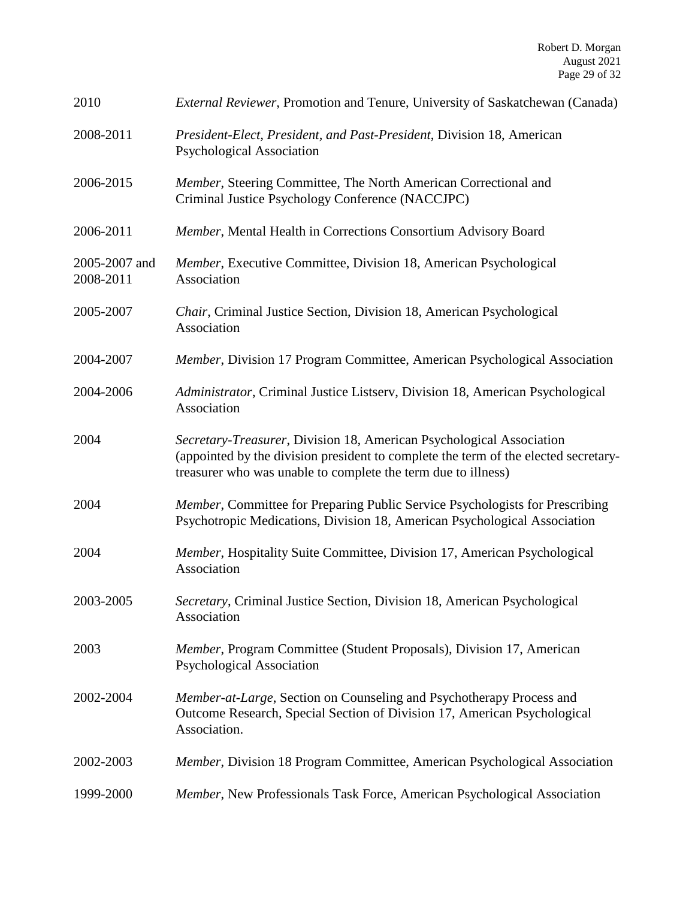| 2010                       | <i>External Reviewer</i> , Promotion and Tenure, University of Saskatchewan (Canada)                                                                                                                                         |
|----------------------------|------------------------------------------------------------------------------------------------------------------------------------------------------------------------------------------------------------------------------|
| 2008-2011                  | President-Elect, President, and Past-President, Division 18, American<br><b>Psychological Association</b>                                                                                                                    |
| 2006-2015                  | Member, Steering Committee, The North American Correctional and<br>Criminal Justice Psychology Conference (NACCJPC)                                                                                                          |
| 2006-2011                  | Member, Mental Health in Corrections Consortium Advisory Board                                                                                                                                                               |
| 2005-2007 and<br>2008-2011 | Member, Executive Committee, Division 18, American Psychological<br>Association                                                                                                                                              |
| 2005-2007                  | Chair, Criminal Justice Section, Division 18, American Psychological<br>Association                                                                                                                                          |
| 2004-2007                  | Member, Division 17 Program Committee, American Psychological Association                                                                                                                                                    |
| 2004-2006                  | Administrator, Criminal Justice Listserv, Division 18, American Psychological<br>Association                                                                                                                                 |
| 2004                       | Secretary-Treasurer, Division 18, American Psychological Association<br>(appointed by the division president to complete the term of the elected secretary-<br>treasurer who was unable to complete the term due to illness) |
| 2004                       | Member, Committee for Preparing Public Service Psychologists for Prescribing<br>Psychotropic Medications, Division 18, American Psychological Association                                                                    |
| 2004                       | Member, Hospitality Suite Committee, Division 17, American Psychological<br>Association                                                                                                                                      |
| 2003-2005                  | Secretary, Criminal Justice Section, Division 18, American Psychological<br>Association                                                                                                                                      |
| 2003                       | Member, Program Committee (Student Proposals), Division 17, American<br><b>Psychological Association</b>                                                                                                                     |
| 2002-2004                  | Member-at-Large, Section on Counseling and Psychotherapy Process and<br>Outcome Research, Special Section of Division 17, American Psychological<br>Association.                                                             |
| 2002-2003                  | Member, Division 18 Program Committee, American Psychological Association                                                                                                                                                    |
| 1999-2000                  | Member, New Professionals Task Force, American Psychological Association                                                                                                                                                     |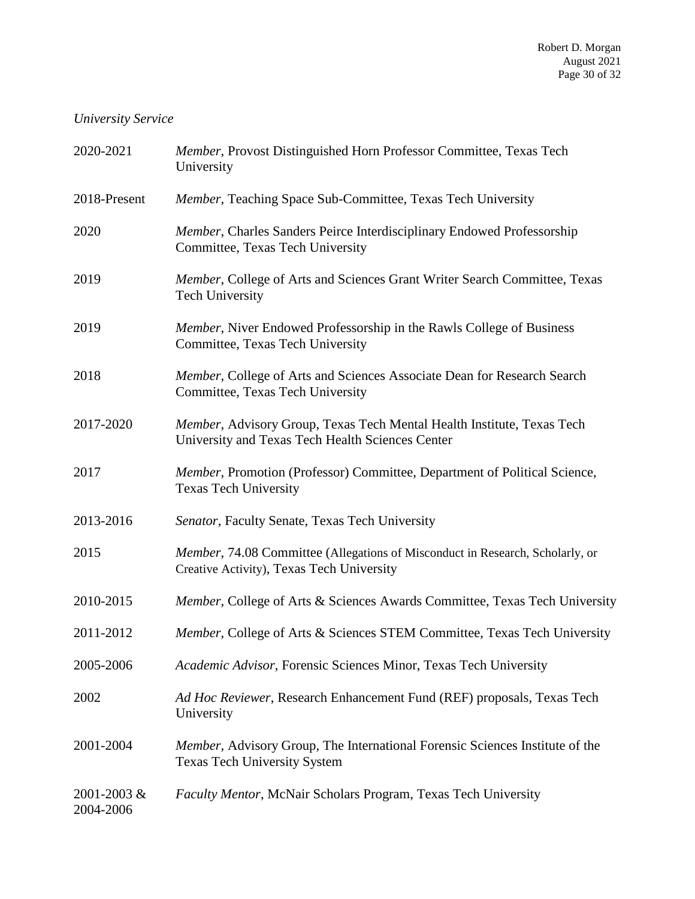## *University Service*

| 2020-2021                | Member, Provost Distinguished Horn Professor Committee, Texas Tech<br>University                                           |
|--------------------------|----------------------------------------------------------------------------------------------------------------------------|
| 2018-Present             | Member, Teaching Space Sub-Committee, Texas Tech University                                                                |
| 2020                     | Member, Charles Sanders Peirce Interdisciplinary Endowed Professorship<br>Committee, Texas Tech University                 |
| 2019                     | Member, College of Arts and Sciences Grant Writer Search Committee, Texas<br><b>Tech University</b>                        |
| 2019                     | Member, Niver Endowed Professorship in the Rawls College of Business<br>Committee, Texas Tech University                   |
| 2018                     | Member, College of Arts and Sciences Associate Dean for Research Search<br>Committee, Texas Tech University                |
| 2017-2020                | Member, Advisory Group, Texas Tech Mental Health Institute, Texas Tech<br>University and Texas Tech Health Sciences Center |
| 2017                     | Member, Promotion (Professor) Committee, Department of Political Science,<br><b>Texas Tech University</b>                  |
| 2013-2016                | Senator, Faculty Senate, Texas Tech University                                                                             |
| 2015                     | Member, 74.08 Committee (Allegations of Misconduct in Research, Scholarly, or<br>Creative Activity), Texas Tech University |
| 2010-2015                | Member, College of Arts & Sciences Awards Committee, Texas Tech University                                                 |
| 2011-2012                | Member, College of Arts & Sciences STEM Committee, Texas Tech University                                                   |
| 2005-2006                | Academic Advisor, Forensic Sciences Minor, Texas Tech University                                                           |
| 2002                     | Ad Hoc Reviewer, Research Enhancement Fund (REF) proposals, Texas Tech<br>University                                       |
| 2001-2004                | Member, Advisory Group, The International Forensic Sciences Institute of the<br><b>Texas Tech University System</b>        |
| 2001-2003 &<br>2004-2006 | Faculty Mentor, McNair Scholars Program, Texas Tech University                                                             |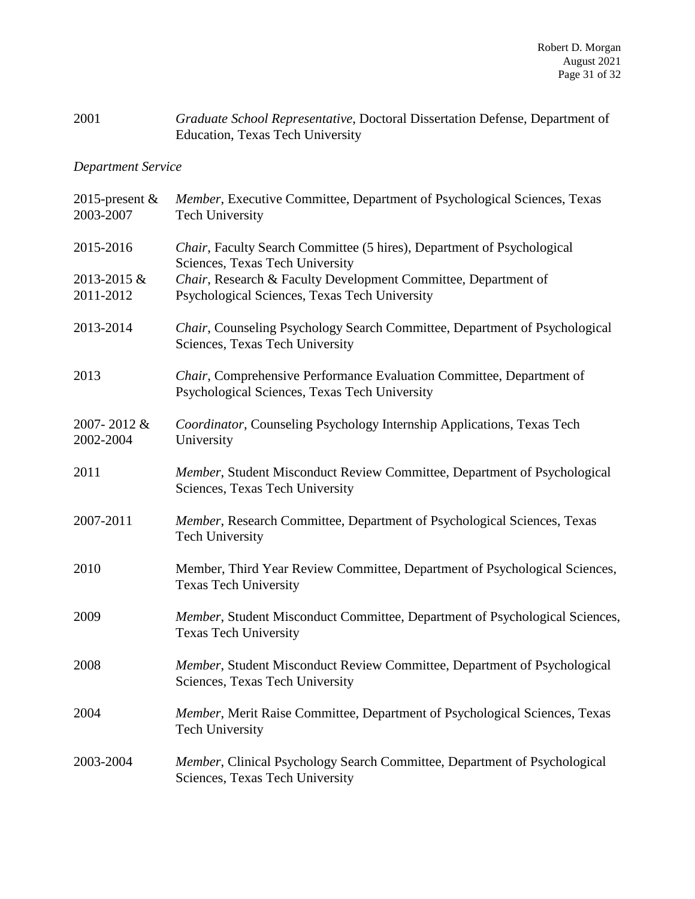# 2001 *Graduate School Representative*, Doctoral Dissertation Defense, Department of Education, Texas Tech University

# *Department Service*

| 2015-present $&$<br>2003-2007 | Member, Executive Committee, Department of Psychological Sciences, Texas<br><b>Tech University</b>                    |
|-------------------------------|-----------------------------------------------------------------------------------------------------------------------|
| 2015-2016                     | Chair, Faculty Search Committee (5 hires), Department of Psychological<br>Sciences, Texas Tech University             |
| 2013-2015 &<br>2011-2012      | Chair, Research & Faculty Development Committee, Department of<br>Psychological Sciences, Texas Tech University       |
| 2013-2014                     | Chair, Counseling Psychology Search Committee, Department of Psychological<br>Sciences, Texas Tech University         |
| 2013                          | Chair, Comprehensive Performance Evaluation Committee, Department of<br>Psychological Sciences, Texas Tech University |
| 2007-2012&<br>2002-2004       | Coordinator, Counseling Psychology Internship Applications, Texas Tech<br>University                                  |
| 2011                          | Member, Student Misconduct Review Committee, Department of Psychological<br>Sciences, Texas Tech University           |
| 2007-2011                     | Member, Research Committee, Department of Psychological Sciences, Texas<br><b>Tech University</b>                     |
| 2010                          | Member, Third Year Review Committee, Department of Psychological Sciences,<br><b>Texas Tech University</b>            |
| 2009                          | Member, Student Misconduct Committee, Department of Psychological Sciences,<br><b>Texas Tech University</b>           |
| 2008                          | Member, Student Misconduct Review Committee, Department of Psychological<br>Sciences, Texas Tech University           |
| 2004                          | Member, Merit Raise Committee, Department of Psychological Sciences, Texas<br><b>Tech University</b>                  |
| 2003-2004                     | Member, Clinical Psychology Search Committee, Department of Psychological<br>Sciences, Texas Tech University          |